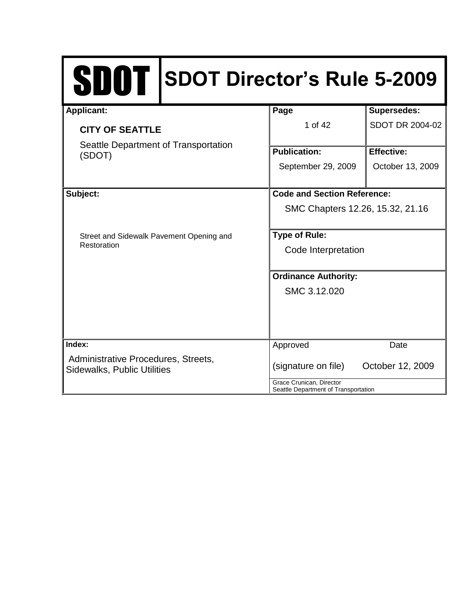| SDOT SDOT Director's Rule 5-2009                                          |                                                                  |                                    |  |
|---------------------------------------------------------------------------|------------------------------------------------------------------|------------------------------------|--|
| <b>Applicant:</b>                                                         | Page                                                             | <b>Supersedes:</b>                 |  |
| <b>CITY OF SEATTLE</b>                                                    | 1 of 42                                                          | SDOT DR 2004-02                    |  |
| Seattle Department of Transportation<br>(SDOT)                            | <b>Publication:</b>                                              | <b>Effective:</b>                  |  |
|                                                                           | September 29, 2009                                               | October 13, 2009                   |  |
| Subject:                                                                  |                                                                  | <b>Code and Section Reference:</b> |  |
|                                                                           | SMC Chapters 12.26, 15.32, 21.16                                 |                                    |  |
| Street and Sidewalk Pavement Opening and                                  | <b>Type of Rule:</b>                                             |                                    |  |
| Restoration                                                               | Code Interpretation                                              |                                    |  |
|                                                                           | <b>Ordinance Authority:</b>                                      |                                    |  |
|                                                                           | SMC 3.12.020                                                     |                                    |  |
|                                                                           |                                                                  |                                    |  |
| Index:                                                                    | Approved                                                         | Date                               |  |
| Administrative Procedures, Streets,<br><b>Sidewalks, Public Utilities</b> | (signature on file)<br>October 12, 2009                          |                                    |  |
|                                                                           | Grace Crunican, Director<br>Seattle Department of Transportation |                                    |  |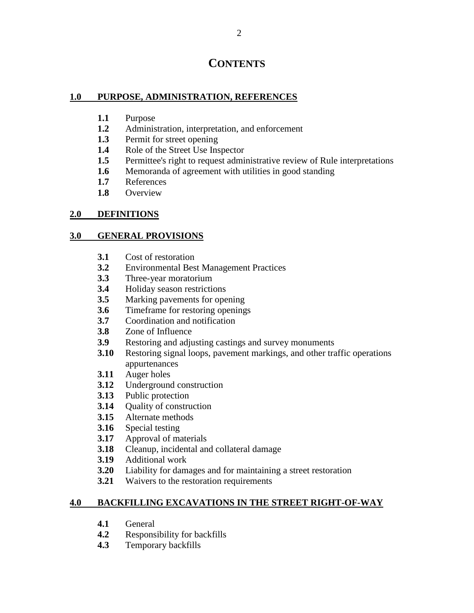# **CONTENTS**

## **1.0 PURPOSE, ADMINISTRATION, REFERENCES**

- **1.1** Purpose
- **1.2** Administration, interpretation, and enforcement
- **1.3** Permit for street opening
- **1.4** Role of the Street Use Inspector
- **1.5** Permittee's right to request administrative review of Rule interpretations
- **1.6** Memoranda of agreement with utilities in good standing
- **1.7** References
- **1.8** Overview

## **2.0 DEFINITIONS**

## **3.0 GENERAL PROVISIONS**

- **3.1** Cost of restoration
- **3.2** Environmental Best Management Practices
- **3.3** Three-year moratorium
- **3.4** Holiday season restrictions
- **3.5** Marking pavements for opening
- **3.6** Timeframe for restoring openings
- **3.7** Coordination and notification
- **3.8** Zone of Influence
- **3.9** Restoring and adjusting castings and survey monuments
- **3.10** Restoring signal loops, pavement markings, and other traffic operations appurtenances
- **3.11** Auger holes
- **3.12** Underground construction
- **3.13** Public protection
- **3.14** Ouality of construction
- **3.15** Alternate methods
- **3.16** Special testing
- **3.17** Approval of materials
- **3.18** Cleanup, incidental and collateral damage
- **3.19** Additional work
- **3.20** Liability for damages and for maintaining a street restoration
- **3.21** Waivers to the restoration requirements

# **4.0 BACKFILLING EXCAVATIONS IN THE STREET RIGHT-OF-WAY**

- **4.1** General
- **4.2** Responsibility for backfills
- **4.3** Temporary backfills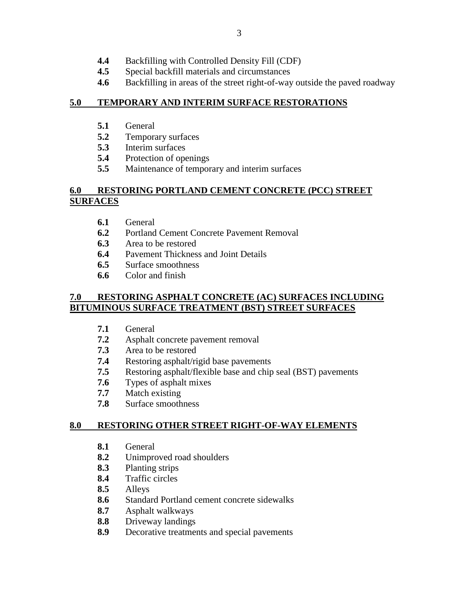- **4.4** Backfilling with Controlled Density Fill (CDF)
- **4.5** Special backfill materials and circumstances
- **4.6** Backfilling in areas of the street right-of-way outside the paved roadway

3

# **5.0 TEMPORARY AND INTERIM SURFACE RESTORATIONS**

- **5.1** General
- **5.2** Temporary surfaces
- **5.3** Interim surfaces
- **5.4** Protection of openings
- **5.5** Maintenance of temporary and interim surfaces

# **6.0 RESTORING PORTLAND CEMENT CONCRETE (PCC) STREET SURFACES**

- **6.1** General
- **6.2** Portland Cement Concrete Pavement Removal
- **6.3** Area to be restored
- **6.4** Pavement Thickness and Joint Details
- **6.5** Surface smoothness
- **6.6** Color and finish

# **7.0 RESTORING ASPHALT CONCRETE (AC) SURFACES INCLUDING BITUMINOUS SURFACE TREATMENT (BST) STREET SURFACES**

- **7.1** General
- **7.2** Asphalt concrete pavement removal
- **7.3** Area to be restored
- **7.4** Restoring asphalt/rigid base pavements
- **7.5** Restoring asphalt/flexible base and chip seal (BST) pavements
- **7.6** Types of asphalt mixes
- **7.7** Match existing
- **7.8** Surface smoothness

# **8.0 RESTORING OTHER STREET RIGHT-OF-WAY ELEMENTS**

- **8.1** General
- **8.2** Unimproved road shoulders
- **8.3** Planting strips
- **8.4** Traffic circles
- **8.5** Alleys
- **8.6** Standard Portland cement concrete sidewalks
- **8.7** Asphalt walkways
- **8.8** Driveway landings
- **8.9** Decorative treatments and special pavements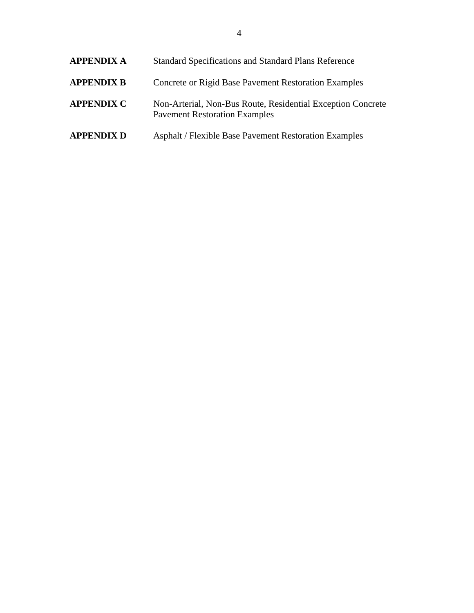| <b>APPENDIX A</b> | <b>Standard Specifications and Standard Plans Reference</b>                                         |
|-------------------|-----------------------------------------------------------------------------------------------------|
| <b>APPENDIX B</b> | Concrete or Rigid Base Pavement Restoration Examples                                                |
| <b>APPENDIX C</b> | Non-Arterial, Non-Bus Route, Residential Exception Concrete<br><b>Pavement Restoration Examples</b> |
| <b>APPENDIX D</b> | <b>Asphalt / Flexible Base Pavement Restoration Examples</b>                                        |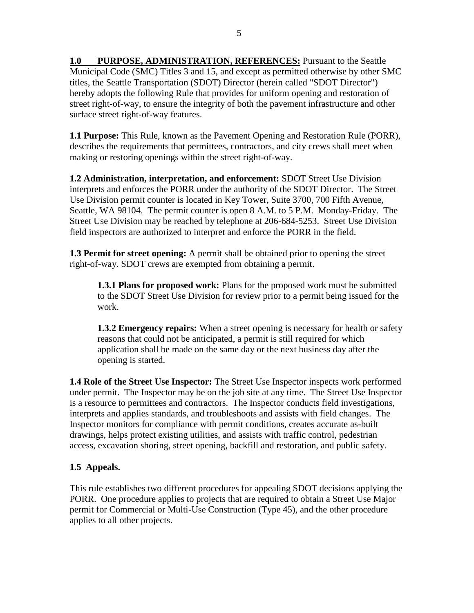**1.0 PURPOSE, ADMINISTRATION, REFERENCES:** Pursuant to the Seattle Municipal Code (SMC) Titles 3 and 15, and except as permitted otherwise by other SMC titles, the Seattle Transportation (SDOT) Director (herein called "SDOT Director") hereby adopts the following Rule that provides for uniform opening and restoration of street right-of-way, to ensure the integrity of both the pavement infrastructure and other surface street right-of-way features.

**1.1 Purpose:** This Rule, known as the Pavement Opening and Restoration Rule (PORR), describes the requirements that permittees, contractors, and city crews shall meet when making or restoring openings within the street right-of-way.

**1.2 Administration, interpretation, and enforcement:** SDOT Street Use Division interprets and enforces the PORR under the authority of the SDOT Director. The Street Use Division permit counter is located in Key Tower, Suite 3700, 700 Fifth Avenue, Seattle, WA 98104. The permit counter is open 8 A.M. to 5 P.M. Monday-Friday. The Street Use Division may be reached by telephone at 206-684-5253. Street Use Division field inspectors are authorized to interpret and enforce the PORR in the field.

**1.3 Permit for street opening:** A permit shall be obtained prior to opening the street right-of-way. SDOT crews are exempted from obtaining a permit.

**1.3.1 Plans for proposed work:** Plans for the proposed work must be submitted to the SDOT Street Use Division for review prior to a permit being issued for the work.

**1.3.2 Emergency repairs:** When a street opening is necessary for health or safety reasons that could not be anticipated, a permit is still required for which application shall be made on the same day or the next business day after the opening is started.

**1.4 Role of the Street Use Inspector:** The Street Use Inspector inspects work performed under permit. The Inspector may be on the job site at any time. The Street Use Inspector is a resource to permittees and contractors. The Inspector conducts field investigations, interprets and applies standards, and troubleshoots and assists with field changes. The Inspector monitors for compliance with permit conditions, creates accurate as-built drawings, helps protect existing utilities, and assists with traffic control, pedestrian access, excavation shoring, street opening, backfill and restoration, and public safety.

# **1.5 Appeals.**

This rule establishes two different procedures for appealing SDOT decisions applying the PORR. One procedure applies to projects that are required to obtain a Street Use Major permit for Commercial or Multi-Use Construction (Type 45), and the other procedure applies to all other projects.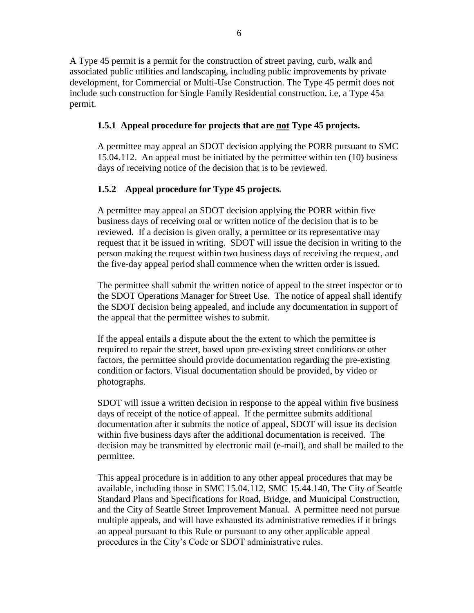A Type 45 permit is a permit for the construction of street paving, curb, walk and associated public utilities and landscaping, including public improvements by private development, for Commercial or Multi-Use Construction. The Type 45 permit does not include such construction for Single Family Residential construction, i.e, a Type 45a permit.

# **1.5.1 Appeal procedure for projects that are not Type 45 projects.**

A permittee may appeal an SDOT decision applying the PORR pursuant to SMC 15.04.112. An appeal must be initiated by the permittee within ten (10) business days of receiving notice of the decision that is to be reviewed.

# **1.5.2 Appeal procedure for Type 45 projects.**

A permittee may appeal an SDOT decision applying the PORR within five business days of receiving oral or written notice of the decision that is to be reviewed. If a decision is given orally, a permittee or its representative may request that it be issued in writing. SDOT will issue the decision in writing to the person making the request within two business days of receiving the request, and the five-day appeal period shall commence when the written order is issued.

The permittee shall submit the written notice of appeal to the street inspector or to the SDOT Operations Manager for Street Use. The notice of appeal shall identify the SDOT decision being appealed, and include any documentation in support of the appeal that the permittee wishes to submit.

If the appeal entails a dispute about the the extent to which the permittee is required to repair the street, based upon pre-existing street conditions or other factors, the permittee should provide documentation regarding the pre-existing condition or factors. Visual documentation should be provided, by video or photographs.

SDOT will issue a written decision in response to the appeal within five business days of receipt of the notice of appeal. If the permittee submits additional documentation after it submits the notice of appeal, SDOT will issue its decision within five business days after the additional documentation is received. The decision may be transmitted by electronic mail (e-mail), and shall be mailed to the permittee.

This appeal procedure is in addition to any other appeal procedures that may be available, including those in SMC 15.04.112, SMC 15.44.140, The City of Seattle Standard Plans and Specifications for Road, Bridge, and Municipal Construction, and the City of Seattle Street Improvement Manual. A permittee need not pursue multiple appeals, and will have exhausted its administrative remedies if it brings an appeal pursuant to this Rule or pursuant to any other applicable appeal procedures in the City's Code or SDOT administrative rules.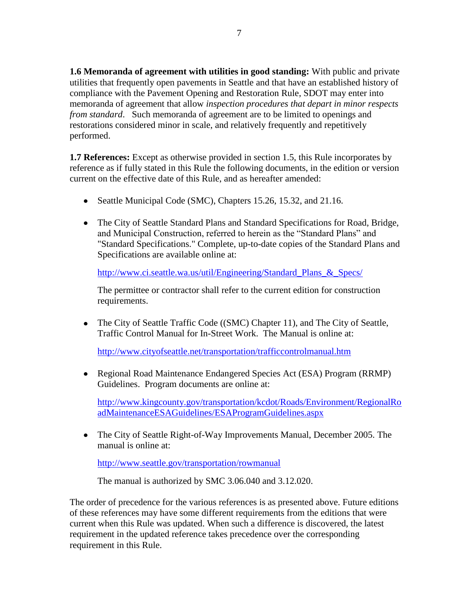**1.6 Memoranda of agreement with utilities in good standing:** With public and private utilities that frequently open pavements in Seattle and that have an established history of compliance with the Pavement Opening and Restoration Rule, SDOT may enter into memoranda of agreement that allow *inspection procedures that depart in minor respects from standard*. Such memoranda of agreement are to be limited to openings and restorations considered minor in scale, and relatively frequently and repetitively performed.

**1.7 References:** Except as otherwise provided in section 1.5, this Rule incorporates by reference as if fully stated in this Rule the following documents, in the edition or version current on the effective date of this Rule, and as hereafter amended:

- Seattle Municipal Code (SMC), Chapters 15.26, 15.32, and 21.16.
- The City of Seattle Standard Plans and Standard Specifications for Road, Bridge, and Municipal Construction, referred to herein as the "Standard Plans" and "Standard Specifications." Complete, up-to-date copies of the Standard Plans and Specifications are available online at:

[http://www.ci.seattle.wa.us/util/Engineering/Standard\\_Plans\\_&\\_Specs/](http://www.ci.seattle.wa.us/util/Engineering/Standard_Plans_&_Specs/)

The permittee or contractor shall refer to the current edition for construction requirements.

• The City of Seattle Traffic Code ((SMC) Chapter 11), and The City of Seattle, Traffic Control Manual for In-Street Work. The Manual is online at:

<http://www.cityofseattle.net/transportation/trafficcontrolmanual.htm>

Regional Road Maintenance Endangered Species Act (ESA) Program (RRMP) Guidelines. Program documents are online at:

[http://www.kingcounty.gov/transportation/kcdot/Roads/Environment/RegionalRo](http://www.kingcounty.gov/transportation/kcdot/Roads/Environment/RegionalRoadMaintenanceESAGuidelines/ESAProgramGuidelines.aspx) [adMaintenanceESAGuidelines/ESAProgramGuidelines.aspx](http://www.kingcounty.gov/transportation/kcdot/Roads/Environment/RegionalRoadMaintenanceESAGuidelines/ESAProgramGuidelines.aspx)

The City of Seattle Right-of-Way Improvements Manual, December 2005. The manual is online at:

<http://www.seattle.gov/transportation/rowmanual>

The manual is authorized by SMC 3.06.040 and 3.12.020.

The order of precedence for the various references is as presented above. Future editions of these references may have some different requirements from the editions that were current when this Rule was updated. When such a difference is discovered, the latest requirement in the updated reference takes precedence over the corresponding requirement in this Rule.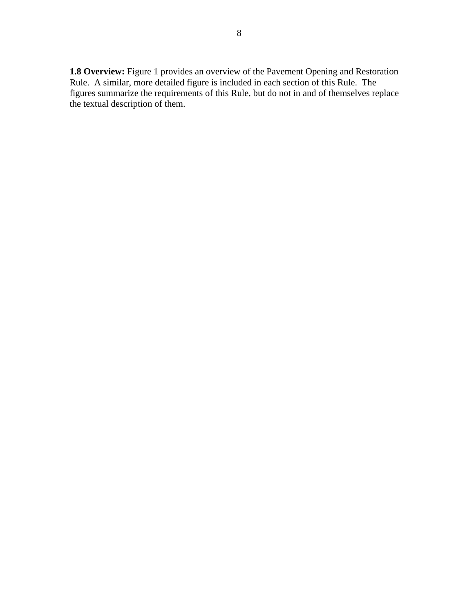**1.8 Overview:** Figure 1 provides an overview of the Pavement Opening and Restoration Rule. A similar, more detailed figure is included in each section of this Rule. The figures summarize the requirements of this Rule, but do not in and of themselves replace the textual description of them.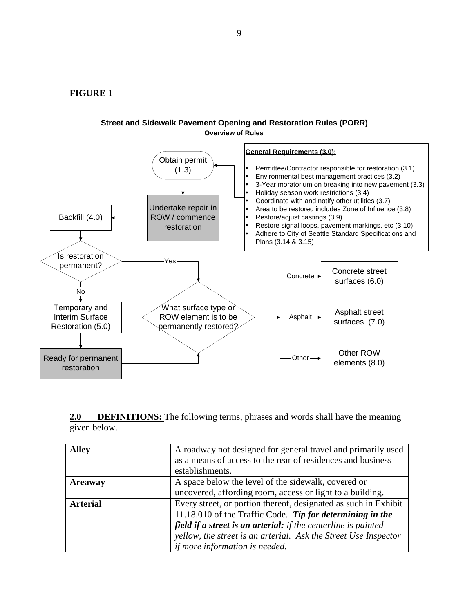**FIGURE 1**



#### **Street and Sidewalk Pavement Opening and Restoration Rules (PORR) Overview of Rules**

**2.0 DEFINITIONS:** The following terms, phrases and words shall have the meaning given below.

| <b>Alley</b>    | A roadway not designed for general travel and primarily used    |  |
|-----------------|-----------------------------------------------------------------|--|
|                 | as a means of access to the rear of residences and business     |  |
|                 | establishments.                                                 |  |
| <b>Areaway</b>  | A space below the level of the sidewalk, covered or             |  |
|                 | uncovered, affording room, access or light to a building.       |  |
| <b>Arterial</b> | Every street, or portion thereof, designated as such in Exhibit |  |
|                 | 11.18.010 of the Traffic Code. Tip for determining in the       |  |
|                 | field if a street is an arterial: if the centerline is painted  |  |
|                 | yellow, the street is an arterial. Ask the Street Use Inspector |  |
|                 | if more information is needed.                                  |  |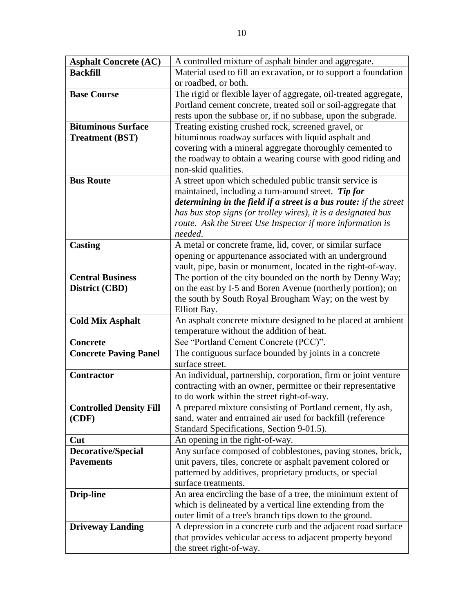| <b>Asphalt Concrete (AC)</b>   | A controlled mixture of asphalt binder and aggregate.              |  |  |
|--------------------------------|--------------------------------------------------------------------|--|--|
| <b>Backfill</b>                | Material used to fill an excavation, or to support a foundation    |  |  |
|                                | or roadbed, or both.                                               |  |  |
| <b>Base Course</b>             | The rigid or flexible layer of aggregate, oil-treated aggregate,   |  |  |
|                                | Portland cement concrete, treated soil or soil-aggregate that      |  |  |
|                                | rests upon the subbase or, if no subbase, upon the subgrade.       |  |  |
| <b>Bituminous Surface</b>      | Treating existing crushed rock, screened gravel, or                |  |  |
| <b>Treatment (BST)</b>         | bituminous roadway surfaces with liquid asphalt and                |  |  |
|                                | covering with a mineral aggregate thoroughly cemented to           |  |  |
|                                | the roadway to obtain a wearing course with good riding and        |  |  |
|                                | non-skid qualities.                                                |  |  |
| <b>Bus Route</b>               | A street upon which scheduled public transit service is            |  |  |
|                                | maintained, including a turn-around street. Tip for                |  |  |
|                                | determining in the field if a street is a bus route: if the street |  |  |
|                                | has bus stop signs (or trolley wires), it is a designated bus      |  |  |
|                                | route. Ask the Street Use Inspector if more information is         |  |  |
|                                | needed.                                                            |  |  |
| <b>Casting</b>                 | A metal or concrete frame, lid, cover, or similar surface          |  |  |
|                                | opening or appurtenance associated with an underground             |  |  |
|                                | vault, pipe, basin or monument, located in the right-of-way.       |  |  |
| <b>Central Business</b>        | The portion of the city bounded on the north by Denny Way;         |  |  |
|                                |                                                                    |  |  |
| District (CBD)                 | on the east by I-5 and Boren Avenue (northerly portion); on        |  |  |
|                                | the south by South Royal Brougham Way; on the west by              |  |  |
|                                | Elliott Bay.                                                       |  |  |
| <b>Cold Mix Asphalt</b>        | An asphalt concrete mixture designed to be placed at ambient       |  |  |
|                                | temperature without the addition of heat.                          |  |  |
| <b>Concrete</b>                | See "Portland Cement Concrete (PCC)".                              |  |  |
| <b>Concrete Paving Panel</b>   | The contiguous surface bounded by joints in a concrete             |  |  |
|                                | surface street.                                                    |  |  |
| Contractor                     | An individual, partnership, corporation, firm or joint venture     |  |  |
|                                | contracting with an owner, permittee or their representative       |  |  |
|                                | to do work within the street right-of-way.                         |  |  |
| <b>Controlled Density Fill</b> | A prepared mixture consisting of Portland cement, fly ash,         |  |  |
| (CDF)                          | sand, water and entrained air used for backfill (reference         |  |  |
|                                | Standard Specifications, Section 9-01.5).                          |  |  |
| Cut                            | An opening in the right-of-way.                                    |  |  |
| Decorative/Special             | Any surface composed of cobblestones, paving stones, brick,        |  |  |
| <b>Pavements</b>               | unit pavers, tiles, concrete or asphalt pavement colored or        |  |  |
|                                | patterned by additives, proprietary products, or special           |  |  |
|                                | surface treatments.                                                |  |  |
| <b>Drip-line</b>               | An area encircling the base of a tree, the minimum extent of       |  |  |
|                                | which is delineated by a vertical line extending from the          |  |  |
|                                | outer limit of a tree's branch tips down to the ground.            |  |  |
| <b>Driveway Landing</b>        | A depression in a concrete curb and the adjacent road surface      |  |  |
|                                | that provides vehicular access to adjacent property beyond         |  |  |
|                                | the street right-of-way.                                           |  |  |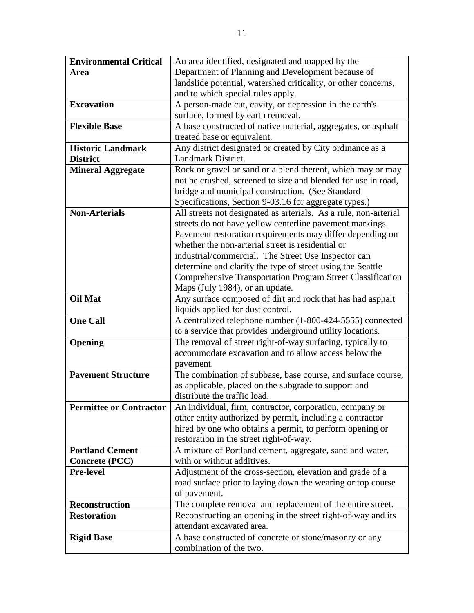| <b>Environmental Critical</b>  | An area identified, designated and mapped by the                                          |  |  |
|--------------------------------|-------------------------------------------------------------------------------------------|--|--|
| Area                           | Department of Planning and Development because of                                         |  |  |
|                                | landslide potential, watershed criticality, or other concerns,                            |  |  |
|                                | and to which special rules apply.                                                         |  |  |
| <b>Excavation</b>              | A person-made cut, cavity, or depression in the earth's                                   |  |  |
|                                | surface, formed by earth removal.                                                         |  |  |
| <b>Flexible Base</b>           | A base constructed of native material, aggregates, or asphalt                             |  |  |
|                                | treated base or equivalent.                                                               |  |  |
| <b>Historic Landmark</b>       | Any district designated or created by City ordinance as a                                 |  |  |
| <b>District</b>                | Landmark District.                                                                        |  |  |
| <b>Mineral Aggregate</b>       | Rock or gravel or sand or a blend thereof, which may or may                               |  |  |
|                                | not be crushed, screened to size and blended for use in road,                             |  |  |
|                                | bridge and municipal construction. (See Standard                                          |  |  |
|                                | Specifications, Section 9-03.16 for aggregate types.)                                     |  |  |
| <b>Non-Arterials</b>           | All streets not designated as arterials. As a rule, non-arterial                          |  |  |
|                                | streets do not have yellow centerline pavement markings.                                  |  |  |
|                                | Pavement restoration requirements may differ depending on                                 |  |  |
|                                | whether the non-arterial street is residential or                                         |  |  |
|                                | industrial/commercial. The Street Use Inspector can                                       |  |  |
|                                | determine and clarify the type of street using the Seattle                                |  |  |
|                                | <b>Comprehensive Transportation Program Street Classification</b>                         |  |  |
|                                | Maps (July 1984), or an update.                                                           |  |  |
| <b>Oil Mat</b>                 | Any surface composed of dirt and rock that has had asphalt                                |  |  |
|                                | liquids applied for dust control.                                                         |  |  |
| <b>One Call</b>                | A centralized telephone number (1-800-424-5555) connected                                 |  |  |
|                                | to a service that provides underground utility locations.                                 |  |  |
| Opening                        | The removal of street right-of-way surfacing, typically to                                |  |  |
|                                | accommodate excavation and to allow access below the                                      |  |  |
|                                | pavement.                                                                                 |  |  |
| <b>Pavement Structure</b>      | The combination of subbase, base course, and surface course,                              |  |  |
|                                | as applicable, placed on the subgrade to support and                                      |  |  |
|                                | distribute the traffic load.                                                              |  |  |
| <b>Permittee or Contractor</b> | An individual, firm, contractor, corporation, company or                                  |  |  |
|                                | other entity authorized by permit, including a contractor                                 |  |  |
|                                | hired by one who obtains a permit, to perform opening or                                  |  |  |
|                                | restoration in the street right-of-way.                                                   |  |  |
| <b>Portland Cement</b>         | A mixture of Portland cement, aggregate, sand and water,                                  |  |  |
| <b>Concrete (PCC)</b>          | with or without additives.                                                                |  |  |
| <b>Pre-level</b>               | Adjustment of the cross-section, elevation and grade of a                                 |  |  |
|                                | road surface prior to laying down the wearing or top course                               |  |  |
| Reconstruction                 | of pavement.                                                                              |  |  |
| <b>Restoration</b>             | The complete removal and replacement of the entire street.                                |  |  |
|                                | Reconstructing an opening in the street right-of-way and its<br>attendant excavated area. |  |  |
|                                |                                                                                           |  |  |
| <b>Rigid Base</b>              | A base constructed of concrete or stone/masonry or any                                    |  |  |
|                                | combination of the two.                                                                   |  |  |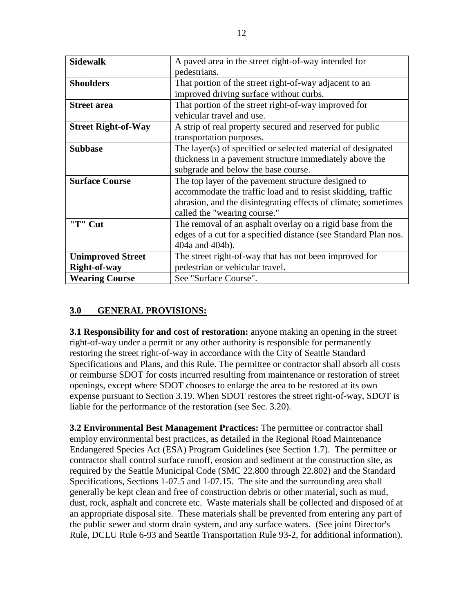| <b>Sidewalk</b>            | A paved area in the street right-of-way intended for            |  |  |
|----------------------------|-----------------------------------------------------------------|--|--|
|                            | pedestrians.                                                    |  |  |
| <b>Shoulders</b>           | That portion of the street right-of-way adjacent to an          |  |  |
|                            | improved driving surface without curbs.                         |  |  |
| <b>Street area</b>         | That portion of the street right-of-way improved for            |  |  |
|                            | vehicular travel and use.                                       |  |  |
| <b>Street Right-of-Way</b> | A strip of real property secured and reserved for public        |  |  |
|                            | transportation purposes.                                        |  |  |
| <b>Subbase</b>             | The layer(s) of specified or selected material of designated    |  |  |
|                            | thickness in a pavement structure immediately above the         |  |  |
|                            | subgrade and below the base course.                             |  |  |
| <b>Surface Course</b>      | The top layer of the pavement structure designed to             |  |  |
|                            | accommodate the traffic load and to resist skidding, traffic    |  |  |
|                            | abrasion, and the disintegrating effects of climate; sometimes  |  |  |
|                            | called the "wearing course."                                    |  |  |
| "T" Cut                    | The removal of an asphalt overlay on a rigid base from the      |  |  |
|                            | edges of a cut for a specified distance (see Standard Plan nos. |  |  |
|                            | 404a and 404b).                                                 |  |  |
| <b>Unimproved Street</b>   | The street right-of-way that has not been improved for          |  |  |
| <b>Right-of-way</b>        | pedestrian or vehicular travel.                                 |  |  |
| <b>Wearing Course</b>      | See "Surface Course".                                           |  |  |

# **3.0 GENERAL PROVISIONS:**

**3.1 Responsibility for and cost of restoration:** anyone making an opening in the street right-of-way under a permit or any other authority is responsible for permanently restoring the street right-of-way in accordance with the City of Seattle Standard Specifications and Plans, and this Rule. The permittee or contractor shall absorb all costs or reimburse SDOT for costs incurred resulting from maintenance or restoration of street openings, except where SDOT chooses to enlarge the area to be restored at its own expense pursuant to Section 3.19. When SDOT restores the street right-of-way, SDOT is liable for the performance of the restoration (see Sec. 3.20).

**3.2 Environmental Best Management Practices:** The permittee or contractor shall employ environmental best practices, as detailed in the Regional Road Maintenance Endangered Species Act (ESA) Program Guidelines (see Section 1.7). The permittee or contractor shall control surface runoff, erosion and sediment at the construction site, as required by the Seattle Municipal Code (SMC 22.800 through 22.802) and the Standard Specifications, Sections 1-07.5 and 1-07.15. The site and the surrounding area shall generally be kept clean and free of construction debris or other material, such as mud, dust, rock, asphalt and concrete etc. Waste materials shall be collected and disposed of at an appropriate disposal site. These materials shall be prevented from entering any part of the public sewer and storm drain system, and any surface waters. (See joint Director's Rule, DCLU Rule 6-93 and Seattle Transportation Rule 93-2, for additional information).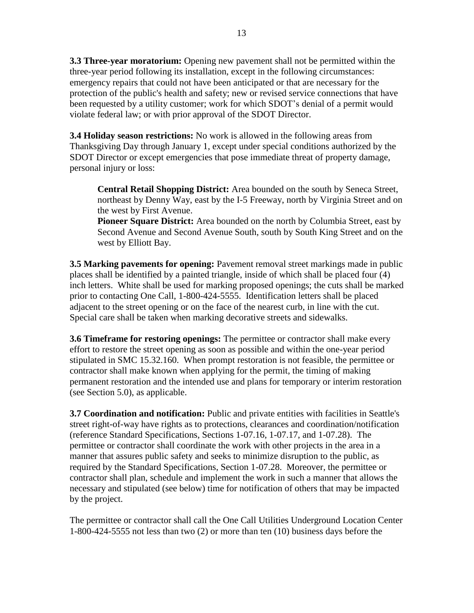**3.3 Three-year moratorium:** Opening new pavement shall not be permitted within the three-year period following its installation, except in the following circumstances: emergency repairs that could not have been anticipated or that are necessary for the protection of the public's health and safety; new or revised service connections that have been requested by a utility customer; work for which SDOT's denial of a permit would violate federal law; or with prior approval of the SDOT Director.

**3.4 Holiday season restrictions:** No work is allowed in the following areas from Thanksgiving Day through January 1, except under special conditions authorized by the SDOT Director or except emergencies that pose immediate threat of property damage, personal injury or loss:

**Central Retail Shopping District:** Area bounded on the south by Seneca Street, northeast by Denny Way, east by the I-5 Freeway, north by Virginia Street and on the west by First Avenue.

**Pioneer Square District:** Area bounded on the north by Columbia Street, east by Second Avenue and Second Avenue South, south by South King Street and on the west by Elliott Bay.

**3.5 Marking pavements for opening:** Pavement removal street markings made in public places shall be identified by a painted triangle, inside of which shall be placed four (4) inch letters. White shall be used for marking proposed openings; the cuts shall be marked prior to contacting One Call, 1-800-424-5555. Identification letters shall be placed adjacent to the street opening or on the face of the nearest curb, in line with the cut. Special care shall be taken when marking decorative streets and sidewalks.

**3.6 Timeframe for restoring openings:** The permittee or contractor shall make every effort to restore the street opening as soon as possible and within the one-year period stipulated in SMC 15.32.160. When prompt restoration is not feasible, the permittee or contractor shall make known when applying for the permit, the timing of making permanent restoration and the intended use and plans for temporary or interim restoration (see Section 5.0), as applicable.

**3.7 Coordination and notification:** Public and private entities with facilities in Seattle's street right-of-way have rights as to protections, clearances and coordination/notification (reference Standard Specifications, Sections 1-07.16, 1-07.17, and 1-07.28). The permittee or contractor shall coordinate the work with other projects in the area in a manner that assures public safety and seeks to minimize disruption to the public, as required by the Standard Specifications, Section 1-07.28. Moreover, the permittee or contractor shall plan, schedule and implement the work in such a manner that allows the necessary and stipulated (see below) time for notification of others that may be impacted by the project.

The permittee or contractor shall call the One Call Utilities Underground Location Center 1-800-424-5555 not less than two (2) or more than ten (10) business days before the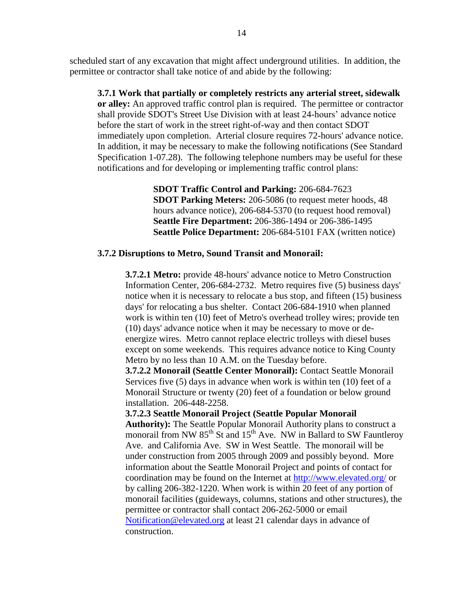scheduled start of any excavation that might affect underground utilities. In addition, the permittee or contractor shall take notice of and abide by the following:

**3.7.1 Work that partially or completely restricts any arterial street, sidewalk or alley:** An approved traffic control plan is required. The permittee or contractor shall provide SDOT's Street Use Division with at least 24-hours' advance notice before the start of work in the street right-of-way and then contact SDOT immediately upon completion. Arterial closure requires 72-hours' advance notice. In addition, it may be necessary to make the following notifications (See Standard Specification 1-07.28). The following telephone numbers may be useful for these notifications and for developing or implementing traffic control plans:

> **SDOT Traffic Control and Parking:** 206-684-7623 **SDOT Parking Meters:** 206-5086 (to request meter hoods, 48 hours advance notice), 206-684-5370 (to request hood removal) **Seattle Fire Department:** 206-386-1494 or 206-386-1495 **Seattle Police Department:** 206-684-5101 FAX (written notice)

#### **3.7.2 Disruptions to Metro, Sound Transit and Monorail:**

**3.7.2.1 Metro:** provide 48-hours' advance notice to Metro Construction Information Center, 206-684-2732. Metro requires five (5) business days' notice when it is necessary to relocate a bus stop, and fifteen (15) business days' for relocating a bus shelter. Contact 206-684-1910 when planned work is within ten (10) feet of Metro's overhead trolley wires; provide ten (10) days' advance notice when it may be necessary to move or deenergize wires. Metro cannot replace electric trolleys with diesel buses except on some weekends. This requires advance notice to King County Metro by no less than 10 A.M. on the Tuesday before.

**3.7.2.2 Monorail (Seattle Center Monorail):** Contact Seattle Monorail Services five (5) days in advance when work is within ten (10) feet of a Monorail Structure or twenty (20) feet of a foundation or below ground installation. 206-448-2258.

#### **3.7.2.3 Seattle Monorail Project (Seattle Popular Monorail**

**Authority):** The Seattle Popular Monorail Authority plans to construct a monorail from NW  $85<sup>th</sup>$  St and  $15<sup>th</sup>$  Ave. NW in Ballard to SW Fauntleroy Ave. and California Ave. SW in West Seattle. The monorail will be under construction from 2005 through 2009 and possibly beyond. More information about the Seattle Monorail Project and points of contact for coordination may be found on the Internet at<http://www.elevated.org/> or by calling 206-382-1220. When work is within 20 feet of any portion of monorail facilities (guideways, columns, stations and other structures), the permittee or contractor shall contact 206-262-5000 or email [Notification@elevated.org](mailto:Notification@elevated.org) at least 21 calendar days in advance of construction.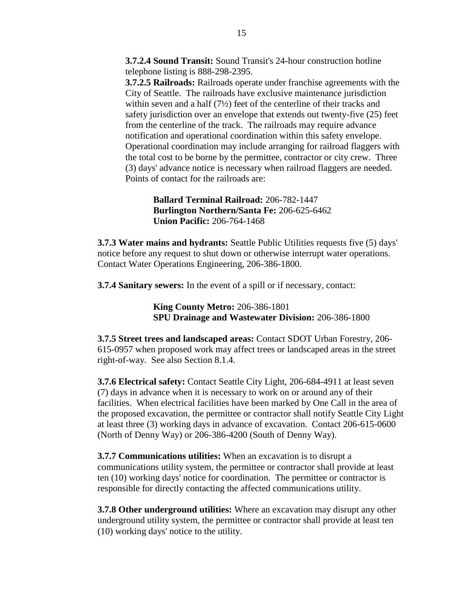**3.7.2.4 Sound Transit:** Sound Transit's 24-hour construction hotline telephone listing is 888-298-2395.

**3.7.2.5 Railroads:** Railroads operate under franchise agreements with the City of Seattle. The railroads have exclusive maintenance jurisdiction within seven and a half  $(7\frac{1}{2})$  feet of the centerline of their tracks and safety jurisdiction over an envelope that extends out twenty-five (25) feet from the centerline of the track. The railroads may require advance notification and operational coordination within this safety envelope. Operational coordination may include arranging for railroad flaggers with the total cost to be borne by the permittee, contractor or city crew. Three (3) days' advance notice is necessary when railroad flaggers are needed. Points of contact for the railroads are:

> **Ballard Terminal Railroad:** 206-782-1447 **Burlington Northern/Santa Fe:** 206-625-6462 **Union Pacific:** 206-764-1468

**3.7.3 Water mains and hydrants:** Seattle Public Utilities requests five (5) days' notice before any request to shut down or otherwise interrupt water operations. Contact Water Operations Engineering, 206-386-1800.

**3.7.4 Sanitary sewers:** In the event of a spill or if necessary, contact:

**King County Metro:** 206-386-1801 **SPU Drainage and Wastewater Division:** 206-386-1800

**3.7.5 Street trees and landscaped areas:** Contact SDOT Urban Forestry, 206- 615-0957 when proposed work may affect trees or landscaped areas in the street right-of-way. See also Section 8.1.4.

**3.7.6 Electrical safety:** Contact Seattle City Light, 206-684-4911 at least seven (7) days in advance when it is necessary to work on or around any of their facilities. When electrical facilities have been marked by One Call in the area of the proposed excavation, the permittee or contractor shall notify Seattle City Light at least three (3) working days in advance of excavation. Contact 206-615-0600 (North of Denny Way) or 206-386-4200 (South of Denny Way).

**3.7.7 Communications utilities:** When an excavation is to disrupt a communications utility system, the permittee or contractor shall provide at least ten (10) working days' notice for coordination. The permittee or contractor is responsible for directly contacting the affected communications utility.

**3.7.8 Other underground utilities:** Where an excavation may disrupt any other underground utility system, the permittee or contractor shall provide at least ten (10) working days' notice to the utility.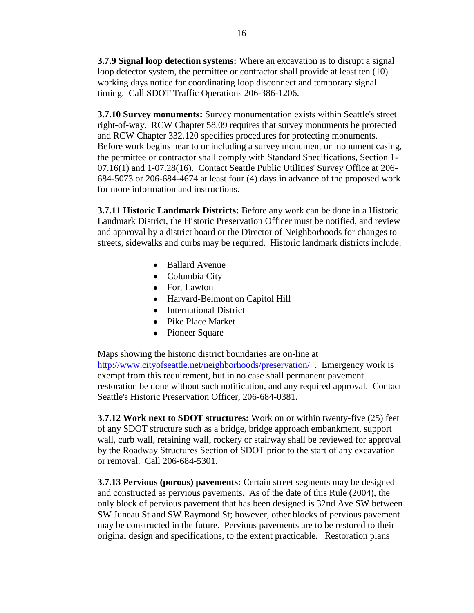**3.7.9 Signal loop detection systems:** Where an excavation is to disrupt a signal loop detector system, the permittee or contractor shall provide at least ten (10) working days notice for coordinating loop disconnect and temporary signal timing. Call SDOT Traffic Operations 206-386-1206.

**3.7.10 Survey monuments:** Survey monumentation exists within Seattle's street right-of-way. RCW Chapter 58.09 requires that survey monuments be protected and RCW Chapter 332.120 specifies procedures for protecting monuments. Before work begins near to or including a survey monument or monument casing, the permittee or contractor shall comply with Standard Specifications, Section 1- 07.16(1) and 1-07.28(16). Contact Seattle Public Utilities' Survey Office at 206- 684-5073 or 206-684-4674 at least four (4) days in advance of the proposed work for more information and instructions.

**3.7.11 Historic Landmark Districts:** Before any work can be done in a Historic Landmark District, the Historic Preservation Officer must be notified, and review and approval by a district board or the Director of Neighborhoods for changes to streets, sidewalks and curbs may be required. Historic landmark districts include:

- Ballard Avenue
- Columbia City
- Fort Lawton
- Harvard-Belmont on Capitol Hill
- International District
- Pike Place Market
- Pioneer Square

Maps showing the historic district boundaries are on-line at <http://www.cityofseattle.net/neighborhoods/preservation/> . Emergency work is exempt from this requirement, but in no case shall permanent pavement restoration be done without such notification, and any required approval. Contact Seattle's Historic Preservation Officer, 206-684-0381.

**3.7.12 Work next to SDOT structures:** Work on or within twenty-five (25) feet of any SDOT structure such as a bridge, bridge approach embankment, support wall, curb wall, retaining wall, rockery or stairway shall be reviewed for approval by the Roadway Structures Section of SDOT prior to the start of any excavation or removal. Call 206-684-5301.

**3.7.13 Pervious (porous) pavements:** Certain street segments may be designed and constructed as pervious pavements. As of the date of this Rule (2004), the only block of pervious pavement that has been designed is 32nd Ave SW between SW Juneau St and SW Raymond St; however, other blocks of pervious pavement may be constructed in the future. Pervious pavements are to be restored to their original design and specifications, to the extent practicable. Restoration plans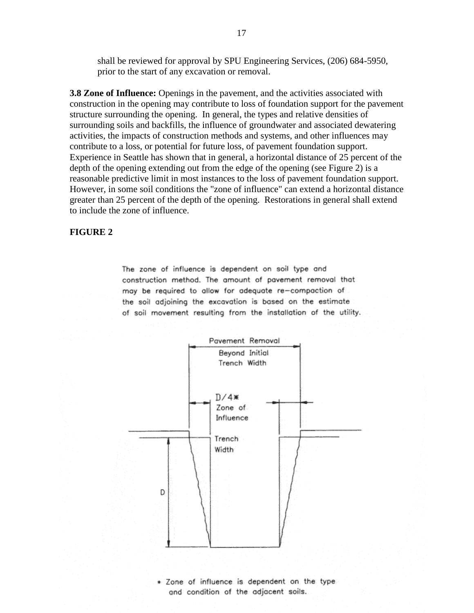shall be reviewed for approval by SPU Engineering Services, (206) 684-5950, prior to the start of any excavation or removal.

**3.8 Zone of Influence:** Openings in the pavement, and the activities associated with construction in the opening may contribute to loss of foundation support for the pavement structure surrounding the opening. In general, the types and relative densities of surrounding soils and backfills, the influence of groundwater and associated dewatering activities, the impacts of construction methods and systems, and other influences may contribute to a loss, or potential for future loss, of pavement foundation support. Experience in Seattle has shown that in general, a horizontal distance of 25 percent of the depth of the opening extending out from the edge of the opening (see Figure 2) is a reasonable predictive limit in most instances to the loss of pavement foundation support. However, in some soil conditions the "zone of influence" can extend a horizontal distance greater than 25 percent of the depth of the opening. Restorations in general shall extend to include the zone of influence.

#### **FIGURE 2**

The zone of influence is dependent on soil type and construction method. The amount of pavement removal that may be required to allow for adequate re-compaction of the soil adjoining the excavation is based on the estimate of soil movement resulting from the installation of the utility.



\* Zone of influence is dependent on the type and condition of the adjacent soils.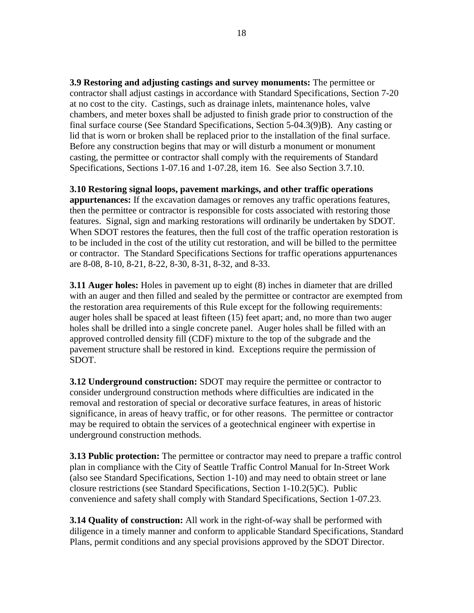**3.9 Restoring and adjusting castings and survey monuments:** The permittee or contractor shall adjust castings in accordance with Standard Specifications, Section 7-20 at no cost to the city. Castings, such as drainage inlets, maintenance holes, valve chambers, and meter boxes shall be adjusted to finish grade prior to construction of the final surface course (See Standard Specifications, Section 5-04.3(9)B). Any casting or lid that is worn or broken shall be replaced prior to the installation of the final surface. Before any construction begins that may or will disturb a monument or monument casting, the permittee or contractor shall comply with the requirements of Standard Specifications, Sections 1-07.16 and 1-07.28, item 16. See also Section 3.7.10.

#### **3.10 Restoring signal loops, pavement markings, and other traffic operations**

**appurtenances:** If the excavation damages or removes any traffic operations features, then the permittee or contractor is responsible for costs associated with restoring those features. Signal, sign and marking restorations will ordinarily be undertaken by SDOT. When SDOT restores the features, then the full cost of the traffic operation restoration is to be included in the cost of the utility cut restoration, and will be billed to the permittee or contractor. The Standard Specifications Sections for traffic operations appurtenances are 8-08, 8-10, 8-21, 8-22, 8-30, 8-31, 8-32, and 8-33.

**3.11 Auger holes:** Holes in pavement up to eight (8) inches in diameter that are drilled with an auger and then filled and sealed by the permittee or contractor are exempted from the restoration area requirements of this Rule except for the following requirements: auger holes shall be spaced at least fifteen (15) feet apart; and, no more than two auger holes shall be drilled into a single concrete panel. Auger holes shall be filled with an approved controlled density fill (CDF) mixture to the top of the subgrade and the pavement structure shall be restored in kind. Exceptions require the permission of SDOT.

**3.12 Underground construction:** SDOT may require the permittee or contractor to consider underground construction methods where difficulties are indicated in the removal and restoration of special or decorative surface features, in areas of historic significance, in areas of heavy traffic, or for other reasons. The permittee or contractor may be required to obtain the services of a geotechnical engineer with expertise in underground construction methods.

**3.13 Public protection:** The permittee or contractor may need to prepare a traffic control plan in compliance with the City of Seattle Traffic Control Manual for In-Street Work (also see Standard Specifications, Section 1-10) and may need to obtain street or lane closure restrictions (see Standard Specifications, Section 1-10.2(5)C). Public convenience and safety shall comply with Standard Specifications, Section 1-07.23.

**3.14 Quality of construction:** All work in the right-of-way shall be performed with diligence in a timely manner and conform to applicable Standard Specifications, Standard Plans, permit conditions and any special provisions approved by the SDOT Director.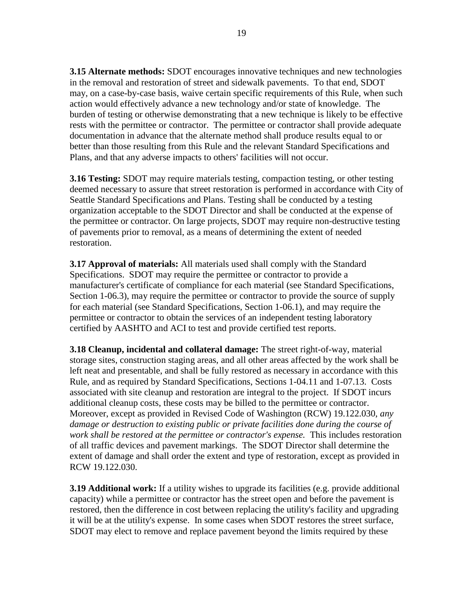**3.15 Alternate methods:** SDOT encourages innovative techniques and new technologies in the removal and restoration of street and sidewalk pavements. To that end, SDOT may, on a case-by-case basis, waive certain specific requirements of this Rule, when such action would effectively advance a new technology and/or state of knowledge. The burden of testing or otherwise demonstrating that a new technique is likely to be effective rests with the permittee or contractor. The permittee or contractor shall provide adequate documentation in advance that the alternate method shall produce results equal to or better than those resulting from this Rule and the relevant Standard Specifications and Plans, and that any adverse impacts to others' facilities will not occur.

**3.16 Testing:** SDOT may require materials testing, compaction testing, or other testing deemed necessary to assure that street restoration is performed in accordance with City of Seattle Standard Specifications and Plans. Testing shall be conducted by a testing organization acceptable to the SDOT Director and shall be conducted at the expense of the permittee or contractor. On large projects, SDOT may require non-destructive testing of pavements prior to removal, as a means of determining the extent of needed restoration.

**3.17 Approval of materials:** All materials used shall comply with the Standard Specifications. SDOT may require the permittee or contractor to provide a manufacturer's certificate of compliance for each material (see Standard Specifications, Section 1-06.3), may require the permittee or contractor to provide the source of supply for each material (see Standard Specifications, Section 1-06.1), and may require the permittee or contractor to obtain the services of an independent testing laboratory certified by AASHTO and ACI to test and provide certified test reports.

**3.18 Cleanup, incidental and collateral damage:** The street right-of-way, material storage sites, construction staging areas, and all other areas affected by the work shall be left neat and presentable, and shall be fully restored as necessary in accordance with this Rule, and as required by Standard Specifications, Sections 1-04.11 and 1-07.13. Costs associated with site cleanup and restoration are integral to the project. If SDOT incurs additional cleanup costs, these costs may be billed to the permittee or contractor. Moreover, except as provided in Revised Code of Washington (RCW) 19.122.030, *any damage or destruction to existing public or private facilities done during the course of work shall be restored at the permittee or contractor's expense.* This includes restoration of all traffic devices and pavement markings. The SDOT Director shall determine the extent of damage and shall order the extent and type of restoration, except as provided in RCW 19.122.030.

**3.19 Additional work:** If a utility wishes to upgrade its facilities (e.g. provide additional capacity) while a permittee or contractor has the street open and before the pavement is restored, then the difference in cost between replacing the utility's facility and upgrading it will be at the utility's expense. In some cases when SDOT restores the street surface, SDOT may elect to remove and replace pavement beyond the limits required by these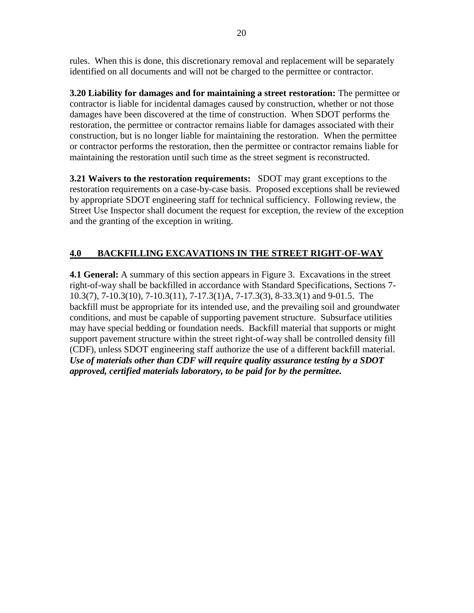rules. When this is done, this discretionary removal and replacement will be separately identified on all documents and will not be charged to the permittee or contractor.

**3.20 Liability for damages and for maintaining a street restoration:** The permittee or contractor is liable for incidental damages caused by construction, whether or not those damages have been discovered at the time of construction. When SDOT performs the restoration, the permittee or contractor remains liable for damages associated with their construction, but is no longer liable for maintaining the restoration. When the permittee or contractor performs the restoration, then the permittee or contractor remains liable for maintaining the restoration until such time as the street segment is reconstructed.

**3.21 Waivers to the restoration requirements:** SDOT may grant exceptions to the restoration requirements on a case-by-case basis. Proposed exceptions shall be reviewed by appropriate SDOT engineering staff for technical sufficiency. Following review, the Street Use Inspector shall document the request for exception, the review of the exception and the granting of the exception in writing.

# **4.0 BACKFILLING EXCAVATIONS IN THE STREET RIGHT-OF-WAY**

**4.1 General:** A summary of this section appears in Figure 3. Excavations in the street right-of-way shall be backfilled in accordance with Standard Specifications, Sections 7- 10.3(7), 7-10.3(10), 7-10.3(11), 7-17.3(1)A, 7-17.3(3), 8-33.3(1) and 9-01.5. The backfill must be appropriate for its intended use, and the prevailing soil and groundwater conditions, and must be capable of supporting pavement structure. Subsurface utilities may have special bedding or foundation needs. Backfill material that supports or might support pavement structure within the street right-of-way shall be controlled density fill (CDF), unless SDOT engineering staff authorize the use of a different backfill material. *Use of materials other than CDF will require quality assurance testing by a SDOT approved, certified materials laboratory, to be paid for by the permittee.*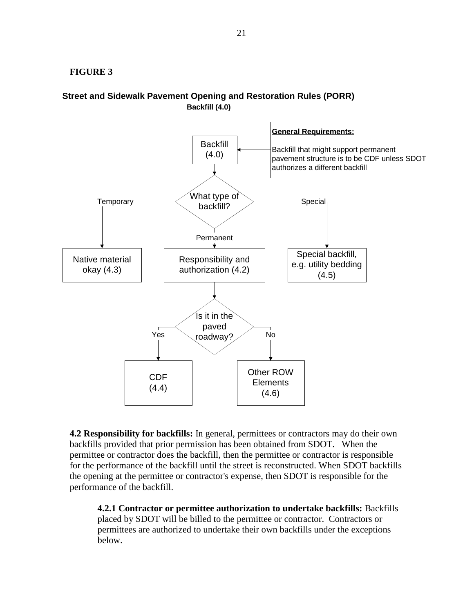#### **FIGURE 3**





**4.2 Responsibility for backfills:** In general, permittees or contractors may do their own backfills provided that prior permission has been obtained from SDOT. When the permittee or contractor does the backfill, then the permittee or contractor is responsible for the performance of the backfill until the street is reconstructed. When SDOT backfills the opening at the permittee or contractor's expense, then SDOT is responsible for the performance of the backfill.

**4.2.1 Contractor or permittee authorization to undertake backfills:** Backfills placed by SDOT will be billed to the permittee or contractor. Contractors or permittees are authorized to undertake their own backfills under the exceptions below.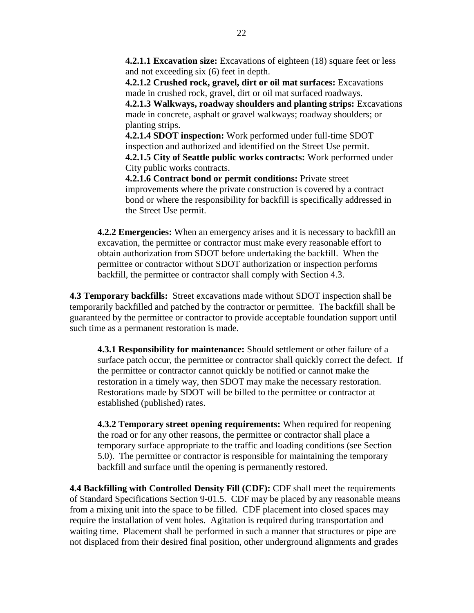**4.2.1.1 Excavation size:** Excavations of eighteen (18) square feet or less and not exceeding six (6) feet in depth.

**4.2.1.2 Crushed rock, gravel, dirt or oil mat surfaces:** Excavations made in crushed rock, gravel, dirt or oil mat surfaced roadways.

**4.2.1.3 Walkways, roadway shoulders and planting strips:** Excavations made in concrete, asphalt or gravel walkways; roadway shoulders; or planting strips.

**4.2.1.4 SDOT inspection:** Work performed under full-time SDOT inspection and authorized and identified on the Street Use permit. **4.2.1.5 City of Seattle public works contracts:** Work performed under City public works contracts.

**4.2.1.6 Contract bond or permit conditions:** Private street improvements where the private construction is covered by a contract bond or where the responsibility for backfill is specifically addressed in the Street Use permit.

**4.2.2 Emergencies:** When an emergency arises and it is necessary to backfill an excavation, the permittee or contractor must make every reasonable effort to obtain authorization from SDOT before undertaking the backfill. When the permittee or contractor without SDOT authorization or inspection performs backfill, the permittee or contractor shall comply with Section 4.3.

**4.3 Temporary backfills:** Street excavations made without SDOT inspection shall be temporarily backfilled and patched by the contractor or permittee. The backfill shall be guaranteed by the permittee or contractor to provide acceptable foundation support until such time as a permanent restoration is made.

**4.3.1 Responsibility for maintenance:** Should settlement or other failure of a surface patch occur, the permittee or contractor shall quickly correct the defect. If the permittee or contractor cannot quickly be notified or cannot make the restoration in a timely way, then SDOT may make the necessary restoration. Restorations made by SDOT will be billed to the permittee or contractor at established (published) rates.

**4.3.2 Temporary street opening requirements:** When required for reopening the road or for any other reasons, the permittee or contractor shall place a temporary surface appropriate to the traffic and loading conditions (see Section 5.0). The permittee or contractor is responsible for maintaining the temporary backfill and surface until the opening is permanently restored.

**4.4 Backfilling with Controlled Density Fill (CDF):** CDF shall meet the requirements of Standard Specifications Section 9-01.5. CDF may be placed by any reasonable means from a mixing unit into the space to be filled. CDF placement into closed spaces may require the installation of vent holes. Agitation is required during transportation and waiting time. Placement shall be performed in such a manner that structures or pipe are not displaced from their desired final position, other underground alignments and grades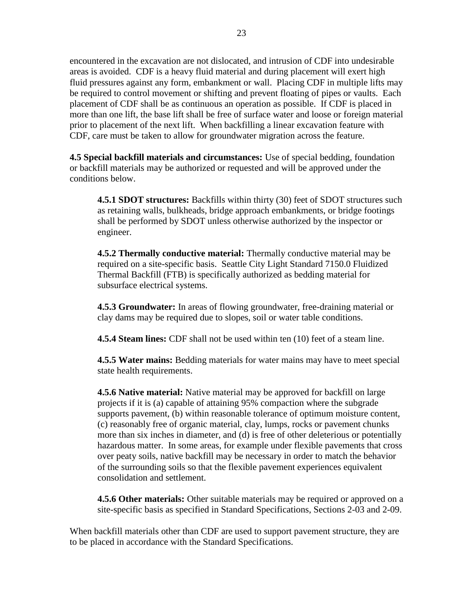encountered in the excavation are not dislocated, and intrusion of CDF into undesirable areas is avoided. CDF is a heavy fluid material and during placement will exert high fluid pressures against any form, embankment or wall. Placing CDF in multiple lifts may be required to control movement or shifting and prevent floating of pipes or vaults. Each placement of CDF shall be as continuous an operation as possible. If CDF is placed in more than one lift, the base lift shall be free of surface water and loose or foreign material prior to placement of the next lift. When backfilling a linear excavation feature with CDF, care must be taken to allow for groundwater migration across the feature.

**4.5 Special backfill materials and circumstances:** Use of special bedding, foundation or backfill materials may be authorized or requested and will be approved under the conditions below.

**4.5.1 SDOT structures:** Backfills within thirty (30) feet of SDOT structures such as retaining walls, bulkheads, bridge approach embankments, or bridge footings shall be performed by SDOT unless otherwise authorized by the inspector or engineer.

**4.5.2 Thermally conductive material:** Thermally conductive material may be required on a site-specific basis. Seattle City Light Standard 7150.0 Fluidized Thermal Backfill (FTB) is specifically authorized as bedding material for subsurface electrical systems.

**4.5.3 Groundwater:** In areas of flowing groundwater, free-draining material or clay dams may be required due to slopes, soil or water table conditions.

**4.5.4 Steam lines:** CDF shall not be used within ten (10) feet of a steam line.

**4.5.5 Water mains:** Bedding materials for water mains may have to meet special state health requirements.

**4.5.6 Native material:** Native material may be approved for backfill on large projects if it is (a) capable of attaining 95% compaction where the subgrade supports pavement, (b) within reasonable tolerance of optimum moisture content, (c) reasonably free of organic material, clay, lumps, rocks or pavement chunks more than six inches in diameter, and (d) is free of other deleterious or potentially hazardous matter. In some areas, for example under flexible pavements that cross over peaty soils, native backfill may be necessary in order to match the behavior of the surrounding soils so that the flexible pavement experiences equivalent consolidation and settlement.

**4.5.6 Other materials:** Other suitable materials may be required or approved on a site-specific basis as specified in Standard Specifications, Sections 2-03 and 2-09.

When backfill materials other than CDF are used to support pavement structure, they are to be placed in accordance with the Standard Specifications.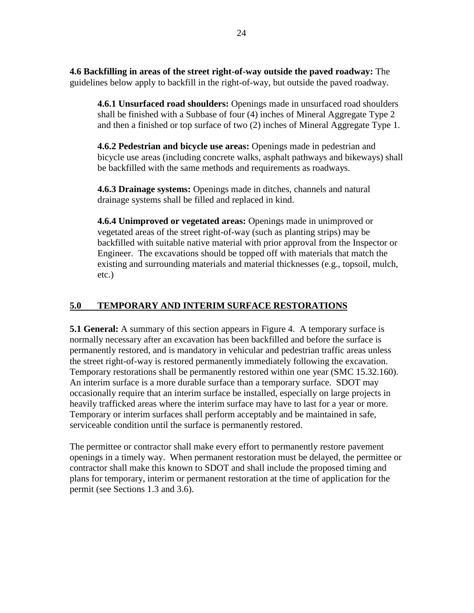**4.6 Backfilling in areas of the street right-of-way outside the paved roadway:** The guidelines below apply to backfill in the right-of-way, but outside the paved roadway.

**4.6.1 Unsurfaced road shoulders:** Openings made in unsurfaced road shoulders shall be finished with a Subbase of four (4) inches of Mineral Aggregate Type 2 and then a finished or top surface of two (2) inches of Mineral Aggregate Type 1.

**4.6.2 Pedestrian and bicycle use areas:** Openings made in pedestrian and bicycle use areas (including concrete walks, asphalt pathways and bikeways) shall be backfilled with the same methods and requirements as roadways.

**4.6.3 Drainage systems:** Openings made in ditches, channels and natural drainage systems shall be filled and replaced in kind.

**4.6.4 Unimproved or vegetated areas:** Openings made in unimproved or vegetated areas of the street right-of-way (such as planting strips) may be backfilled with suitable native material with prior approval from the Inspector or Engineer. The excavations should be topped off with materials that match the existing and surrounding materials and material thicknesses (e.g., topsoil, mulch, etc.)

# **5.0 TEMPORARY AND INTERIM SURFACE RESTORATIONS**

**5.1 General:** A summary of this section appears in Figure 4. A temporary surface is normally necessary after an excavation has been backfilled and before the surface is permanently restored, and is mandatory in vehicular and pedestrian traffic areas unless the street right-of-way is restored permanently immediately following the excavation. Temporary restorations shall be permanently restored within one year (SMC 15.32.160). An interim surface is a more durable surface than a temporary surface. SDOT may occasionally require that an interim surface be installed, especially on large projects in heavily trafficked areas where the interim surface may have to last for a year or more. Temporary or interim surfaces shall perform acceptably and be maintained in safe, serviceable condition until the surface is permanently restored.

The permittee or contractor shall make every effort to permanently restore pavement openings in a timely way. When permanent restoration must be delayed, the permittee or contractor shall make this known to SDOT and shall include the proposed timing and plans for temporary, interim or permanent restoration at the time of application for the permit (see Sections 1.3 and 3.6).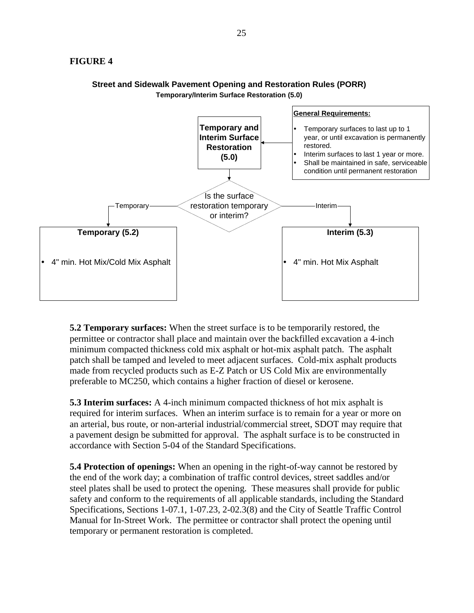## **FIGURE 4**





**5.2 Temporary surfaces:** When the street surface is to be temporarily restored, the permittee or contractor shall place and maintain over the backfilled excavation a 4-inch minimum compacted thickness cold mix asphalt or hot-mix asphalt patch. The asphalt patch shall be tamped and leveled to meet adjacent surfaces. Cold-mix asphalt products made from recycled products such as E-Z Patch or US Cold Mix are environmentally preferable to MC250, which contains a higher fraction of diesel or kerosene.

**5.3 Interim surfaces:** A 4-inch minimum compacted thickness of hot mix asphalt is required for interim surfaces. When an interim surface is to remain for a year or more on an arterial, bus route, or non-arterial industrial/commercial street, SDOT may require that a pavement design be submitted for approval. The asphalt surface is to be constructed in accordance with Section 5-04 of the Standard Specifications.

**5.4 Protection of openings:** When an opening in the right-of-way cannot be restored by the end of the work day; a combination of traffic control devices, street saddles and/or steel plates shall be used to protect the opening. These measures shall provide for public safety and conform to the requirements of all applicable standards, including the Standard Specifications, Sections 1-07.1, 1-07.23, 2-02.3(8) and the City of Seattle Traffic Control Manual for In-Street Work. The permittee or contractor shall protect the opening until temporary or permanent restoration is completed.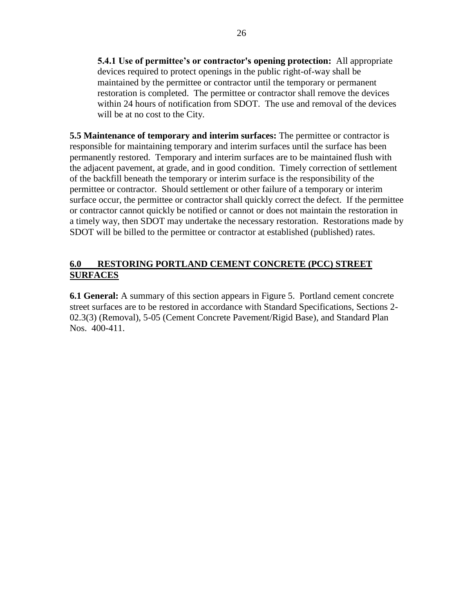**5.4.1 Use of permittee's or contractor's opening protection:** All appropriate devices required to protect openings in the public right-of-way shall be maintained by the permittee or contractor until the temporary or permanent restoration is completed. The permittee or contractor shall remove the devices within 24 hours of notification from SDOT. The use and removal of the devices will be at no cost to the City.

**5.5 Maintenance of temporary and interim surfaces:** The permittee or contractor is responsible for maintaining temporary and interim surfaces until the surface has been permanently restored. Temporary and interim surfaces are to be maintained flush with the adjacent pavement, at grade, and in good condition. Timely correction of settlement of the backfill beneath the temporary or interim surface is the responsibility of the permittee or contractor. Should settlement or other failure of a temporary or interim surface occur, the permittee or contractor shall quickly correct the defect. If the permittee or contractor cannot quickly be notified or cannot or does not maintain the restoration in a timely way, then SDOT may undertake the necessary restoration. Restorations made by SDOT will be billed to the permittee or contractor at established (published) rates.

# **6.0 RESTORING PORTLAND CEMENT CONCRETE (PCC) STREET SURFACES**

**6.1 General:** A summary of this section appears in Figure 5. Portland cement concrete street surfaces are to be restored in accordance with Standard Specifications, Sections 2- 02.3(3) (Removal), 5-05 (Cement Concrete Pavement/Rigid Base), and Standard Plan Nos. 400-411.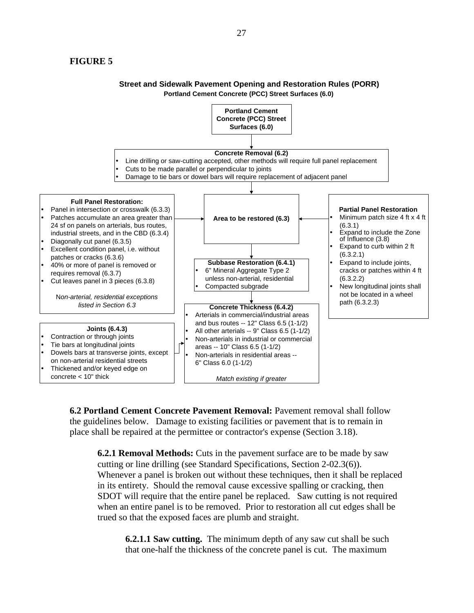## **FIGURE 5**



# **Street and Sidewalk Pavement Opening and Restoration Rules (PORR)**

**6.2 Portland Cement Concrete Pavement Removal:** Pavement removal shall follow the guidelines below. Damage to existing facilities or pavement that is to remain in place shall be repaired at the permittee or contractor's expense (Section 3.18).

**6.2.1 Removal Methods:** Cuts in the pavement surface are to be made by saw cutting or line drilling (see Standard Specifications, Section 2-02.3(6)). Whenever a panel is broken out without these techniques, then it shall be replaced in its entirety. Should the removal cause excessive spalling or cracking, then SDOT will require that the entire panel be replaced. Saw cutting is not required when an entire panel is to be removed. Prior to restoration all cut edges shall be trued so that the exposed faces are plumb and straight.

**6.2.1.1 Saw cutting.** The minimum depth of any saw cut shall be such that one-half the thickness of the concrete panel is cut. The maximum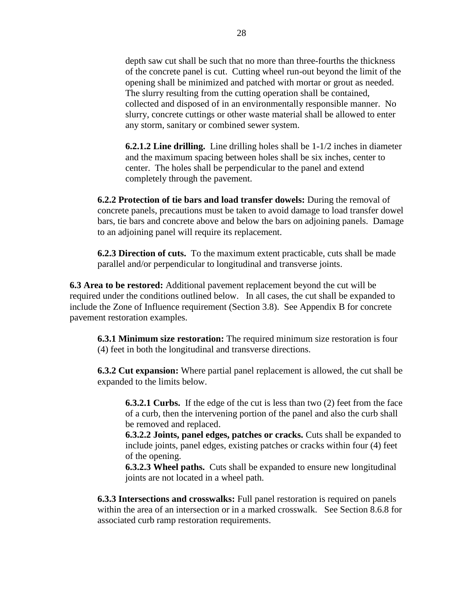depth saw cut shall be such that no more than three-fourths the thickness of the concrete panel is cut. Cutting wheel run-out beyond the limit of the opening shall be minimized and patched with mortar or grout as needed. The slurry resulting from the cutting operation shall be contained, collected and disposed of in an environmentally responsible manner. No slurry, concrete cuttings or other waste material shall be allowed to enter any storm, sanitary or combined sewer system.

**6.2.1.2 Line drilling.** Line drilling holes shall be 1-1/2 inches in diameter and the maximum spacing between holes shall be six inches, center to center. The holes shall be perpendicular to the panel and extend completely through the pavement.

**6.2.2 Protection of tie bars and load transfer dowels:** During the removal of concrete panels, precautions must be taken to avoid damage to load transfer dowel bars, tie bars and concrete above and below the bars on adjoining panels. Damage to an adjoining panel will require its replacement.

**6.2.3 Direction of cuts.** To the maximum extent practicable, cuts shall be made parallel and/or perpendicular to longitudinal and transverse joints.

**6.3 Area to be restored:** Additional pavement replacement beyond the cut will be required under the conditions outlined below. In all cases, the cut shall be expanded to include the Zone of Influence requirement (Section 3.8). See Appendix B for concrete pavement restoration examples.

**6.3.1 Minimum size restoration:** The required minimum size restoration is four (4) feet in both the longitudinal and transverse directions.

**6.3.2 Cut expansion:** Where partial panel replacement is allowed, the cut shall be expanded to the limits below.

**6.3.2.1 Curbs.** If the edge of the cut is less than two (2) feet from the face of a curb, then the intervening portion of the panel and also the curb shall be removed and replaced.

**6.3.2.2 Joints, panel edges, patches or cracks.** Cuts shall be expanded to include joints, panel edges, existing patches or cracks within four (4) feet of the opening.

**6.3.2.3 Wheel paths.** Cuts shall be expanded to ensure new longitudinal joints are not located in a wheel path.

**6.3.3 Intersections and crosswalks:** Full panel restoration is required on panels within the area of an intersection or in a marked crosswalk. See Section 8.6.8 for associated curb ramp restoration requirements.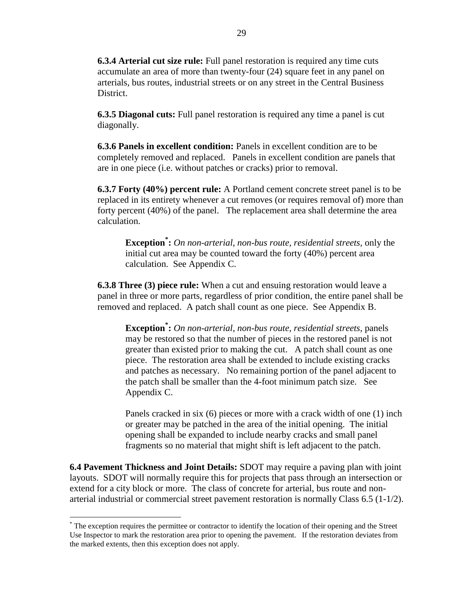**6.3.4 Arterial cut size rule:** Full panel restoration is required any time cuts accumulate an area of more than twenty-four (24) square feet in any panel on arterials, bus routes, industrial streets or on any street in the Central Business District.

**6.3.5 Diagonal cuts:** Full panel restoration is required any time a panel is cut diagonally.

**6.3.6 Panels in excellent condition:** Panels in excellent condition are to be completely removed and replaced. Panels in excellent condition are panels that are in one piece (i.e. without patches or cracks) prior to removal.

**6.3.7 Forty (40%) percent rule:** A Portland cement concrete street panel is to be replaced in its entirety whenever a cut removes (or requires removal of) more than forty percent (40%) of the panel. The replacement area shall determine the area calculation.

**Exception\* :** *On non-arterial, non-bus route, residential streets,* only the initial cut area may be counted toward the forty (40%) percent area calculation. See Appendix C.

**6.3.8 Three (3) piece rule:** When a cut and ensuing restoration would leave a panel in three or more parts, regardless of prior condition, the entire panel shall be removed and replaced. A patch shall count as one piece. See Appendix B.

**Exception\* :** *On non-arterial, non-bus route, residential streets,* panels may be restored so that the number of pieces in the restored panel is not greater than existed prior to making the cut. A patch shall count as one piece. The restoration area shall be extended to include existing cracks and patches as necessary. No remaining portion of the panel adjacent to the patch shall be smaller than the 4-foot minimum patch size. See Appendix C.

Panels cracked in six (6) pieces or more with a crack width of one (1) inch or greater may be patched in the area of the initial opening. The initial opening shall be expanded to include nearby cracks and small panel fragments so no material that might shift is left adjacent to the patch.

**6.4 Pavement Thickness and Joint Details:** SDOT may require a paving plan with joint layouts. SDOT will normally require this for projects that pass through an intersection or extend for a city block or more. The class of concrete for arterial, bus route and nonarterial industrial or commercial street pavement restoration is normally Class 6.5 (1-1/2).

 $\overline{a}$ 

<sup>\*</sup> The exception requires the permittee or contractor to identify the location of their opening and the Street Use Inspector to mark the restoration area prior to opening the pavement. If the restoration deviates from the marked extents, then this exception does not apply.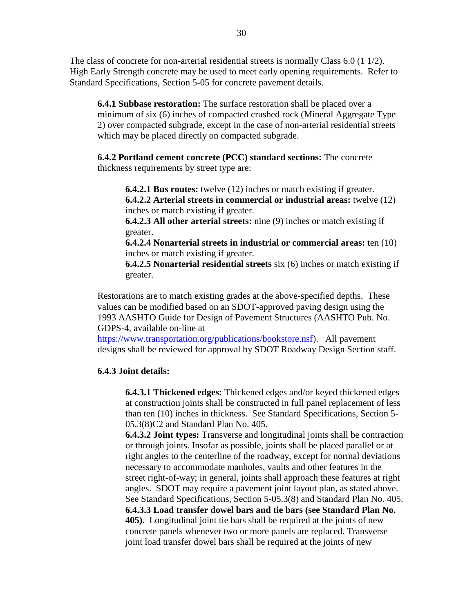The class of concrete for non-arterial residential streets is normally Class  $6.0$  (1  $1/2$ ). High Early Strength concrete may be used to meet early opening requirements. Refer to Standard Specifications, Section 5-05 for concrete pavement details.

**6.4.1 Subbase restoration:** The surface restoration shall be placed over a minimum of six (6) inches of compacted crushed rock (Mineral Aggregate Type 2) over compacted subgrade, except in the case of non-arterial residential streets which may be placed directly on compacted subgrade.

**6.4.2 Portland cement concrete (PCC) standard sections:** The concrete thickness requirements by street type are:

**6.4.2.1 Bus routes:** twelve (12) inches or match existing if greater. **6.4.2.2 Arterial streets in commercial or industrial areas:** twelve (12) inches or match existing if greater.

**6.4.2.3 All other arterial streets:** nine (9) inches or match existing if greater.

**6.4.2.4 Nonarterial streets in industrial or commercial areas:** ten (10) inches or match existing if greater.

**6.4.2.5 Nonarterial residential streets** six (6) inches or match existing if greater.

Restorations are to match existing grades at the above-specified depths. These values can be modified based on an SDOT-approved paving design using the 1993 AASHTO Guide for Design of Pavement Structures (AASHTO Pub. No. GDPS-4, available on-line at

[https://www.transportation.org/publications/bookstore.nsf\)](http://www.transportation.org/publications/bookstore.nsf). All pavement designs shall be reviewed for approval by SDOT Roadway Design Section staff.

## **6.4.3 Joint details:**

**6.4.3.1 Thickened edges:** Thickened edges and/or keyed thickened edges at construction joints shall be constructed in full panel replacement of less than ten (10) inches in thickness. See Standard Specifications, Section 5- 05.3(8)C2 and Standard Plan No. 405.

**6.4.3.2 Joint types:** Transverse and longitudinal joints shall be contraction or through joints. Insofar as possible, joints shall be placed parallel or at right angles to the centerline of the roadway, except for normal deviations necessary to accommodate manholes, vaults and other features in the street right-of-way; in general, joints shall approach these features at right angles. SDOT may require a pavement joint layout plan, as stated above. See Standard Specifications, Section 5-05.3(8) and Standard Plan No. 405. **6.4.3.3 Load transfer dowel bars and tie bars (see Standard Plan No. 405).** Longitudinal joint tie bars shall be required at the joints of new concrete panels whenever two or more panels are replaced. Transverse joint load transfer dowel bars shall be required at the joints of new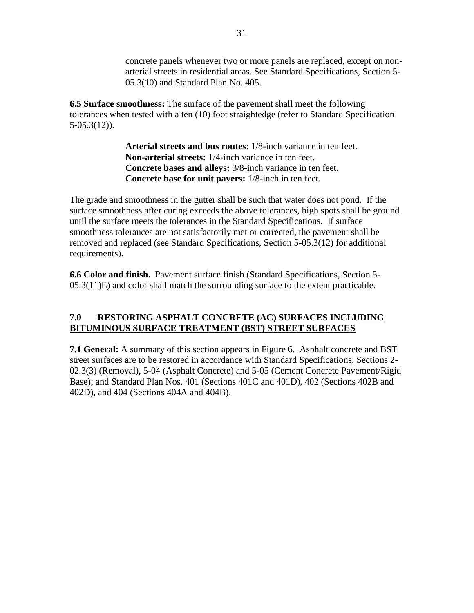concrete panels whenever two or more panels are replaced, except on nonarterial streets in residential areas. See Standard Specifications, Section 5- 05.3(10) and Standard Plan No. 405.

**6.5 Surface smoothness:** The surface of the pavement shall meet the following tolerances when tested with a ten (10) foot straightedge (refer to Standard Specification 5-05.3(12)).

> **Arterial streets and bus routes**: 1/8-inch variance in ten feet. **Non-arterial streets:** 1/4-inch variance in ten feet. **Concrete bases and alleys:** 3/8-inch variance in ten feet. **Concrete base for unit pavers:** 1/8-inch in ten feet.

The grade and smoothness in the gutter shall be such that water does not pond. If the surface smoothness after curing exceeds the above tolerances, high spots shall be ground until the surface meets the tolerances in the Standard Specifications. If surface smoothness tolerances are not satisfactorily met or corrected, the pavement shall be removed and replaced (see Standard Specifications, Section 5-05.3(12) for additional requirements).

**6.6 Color and finish.** Pavement surface finish (Standard Specifications, Section 5- 05.3(11)E) and color shall match the surrounding surface to the extent practicable.

# **7.0 RESTORING ASPHALT CONCRETE (AC) SURFACES INCLUDING BITUMINOUS SURFACE TREATMENT (BST) STREET SURFACES**

**7.1 General:** A summary of this section appears in Figure 6. Asphalt concrete and BST street surfaces are to be restored in accordance with Standard Specifications, Sections 2- 02.3(3) (Removal), 5-04 (Asphalt Concrete) and 5-05 (Cement Concrete Pavement/Rigid Base); and Standard Plan Nos. 401 (Sections 401C and 401D), 402 (Sections 402B and 402D), and 404 (Sections 404A and 404B).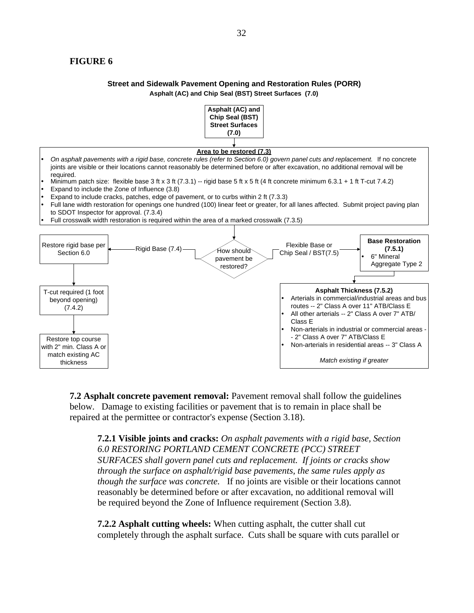## **FIGURE 6**

#### **Street and Sidewalk Pavement Opening and Restoration Rules (PORR) Asphalt (AC) and Chip Seal (BST) Street Surfaces (7.0)**



**7.2 Asphalt concrete pavement removal:** Pavement removal shall follow the guidelines below. Damage to existing facilities or pavement that is to remain in place shall be repaired at the permittee or contractor's expense (Section 3.18).

**7.2.1 Visible joints and cracks:** *On asphalt pavements with a rigid base, Section 6.0 RESTORING PORTLAND CEMENT CONCRETE (PCC) STREET SURFACES shall govern panel cuts and replacement. If joints or cracks show through the surface on asphalt/rigid base pavements, the same rules apply as though the surface was concrete.* If no joints are visible or their locations cannot reasonably be determined before or after excavation, no additional removal will be required beyond the Zone of Influence requirement (Section 3.8).

**7.2.2 Asphalt cutting wheels:** When cutting asphalt, the cutter shall cut completely through the asphalt surface. Cuts shall be square with cuts parallel or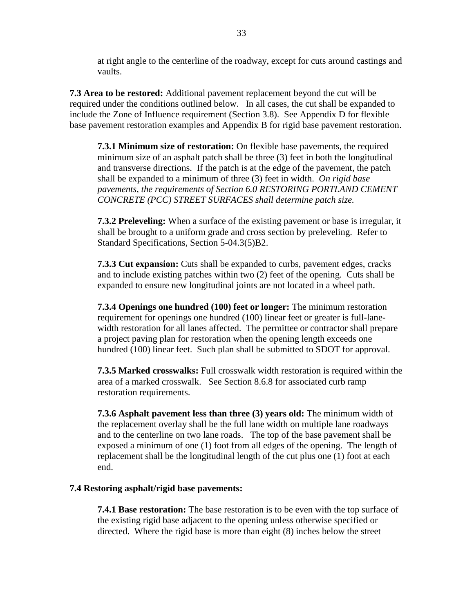at right angle to the centerline of the roadway, except for cuts around castings and vaults.

**7.3 Area to be restored:** Additional pavement replacement beyond the cut will be required under the conditions outlined below. In all cases, the cut shall be expanded to include the Zone of Influence requirement (Section 3.8). See Appendix D for flexible base pavement restoration examples and Appendix B for rigid base pavement restoration.

**7.3.1 Minimum size of restoration:** On flexible base pavements, the required minimum size of an asphalt patch shall be three (3) feet in both the longitudinal and transverse directions. If the patch is at the edge of the pavement, the patch shall be expanded to a minimum of three (3) feet in width. *On rigid base pavements, the requirements of Section 6.0 RESTORING PORTLAND CEMENT CONCRETE (PCC) STREET SURFACES shall determine patch size.*

**7.3.2 Preleveling:** When a surface of the existing pavement or base is irregular, it shall be brought to a uniform grade and cross section by preleveling. Refer to Standard Specifications, Section 5-04.3(5)B2.

**7.3.3 Cut expansion:** Cuts shall be expanded to curbs, pavement edges, cracks and to include existing patches within two (2) feet of the opening. Cuts shall be expanded to ensure new longitudinal joints are not located in a wheel path.

**7.3.4 Openings one hundred (100) feet or longer:** The minimum restoration requirement for openings one hundred (100) linear feet or greater is full-lanewidth restoration for all lanes affected. The permittee or contractor shall prepare a project paving plan for restoration when the opening length exceeds one hundred (100) linear feet. Such plan shall be submitted to SDOT for approval.

**7.3.5 Marked crosswalks:** Full crosswalk width restoration is required within the area of a marked crosswalk. See Section 8.6.8 for associated curb ramp restoration requirements.

**7.3.6 Asphalt pavement less than three (3) years old:** The minimum width of the replacement overlay shall be the full lane width on multiple lane roadways and to the centerline on two lane roads. The top of the base pavement shall be exposed a minimum of one (1) foot from all edges of the opening. The length of replacement shall be the longitudinal length of the cut plus one (1) foot at each end.

## **7.4 Restoring asphalt/rigid base pavements:**

**7.4.1 Base restoration:** The base restoration is to be even with the top surface of the existing rigid base adjacent to the opening unless otherwise specified or directed. Where the rigid base is more than eight (8) inches below the street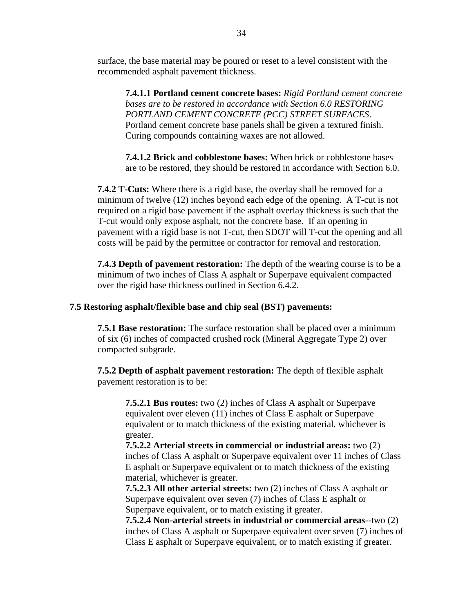surface, the base material may be poured or reset to a level consistent with the recommended asphalt pavement thickness.

**7.4.1.1 Portland cement concrete bases:** *Rigid Portland cement concrete bases are to be restored in accordance with Section 6.0 RESTORING PORTLAND CEMENT CONCRETE (PCC) STREET SURFACES*. Portland cement concrete base panels shall be given a textured finish. Curing compounds containing waxes are not allowed.

**7.4.1.2 Brick and cobblestone bases:** When brick or cobblestone bases are to be restored, they should be restored in accordance with Section 6.0.

**7.4.2 T-Cuts:** Where there is a rigid base, the overlay shall be removed for a minimum of twelve (12) inches beyond each edge of the opening. A T-cut is not required on a rigid base pavement if the asphalt overlay thickness is such that the T-cut would only expose asphalt, not the concrete base. If an opening in pavement with a rigid base is not T-cut, then SDOT will T-cut the opening and all costs will be paid by the permittee or contractor for removal and restoration.

**7.4.3 Depth of pavement restoration:** The depth of the wearing course is to be a minimum of two inches of Class A asphalt or Superpave equivalent compacted over the rigid base thickness outlined in Section 6.4.2.

#### **7.5 Restoring asphalt/flexible base and chip seal (BST) pavements:**

**7.5.1 Base restoration:** The surface restoration shall be placed over a minimum of six (6) inches of compacted crushed rock (Mineral Aggregate Type 2) over compacted subgrade.

**7.5.2 Depth of asphalt pavement restoration:** The depth of flexible asphalt pavement restoration is to be:

**7.5.2.1 Bus routes:** two (2) inches of Class A asphalt or Superpave equivalent over eleven (11) inches of Class E asphalt or Superpave equivalent or to match thickness of the existing material, whichever is greater.

**7.5.2.2 Arterial streets in commercial or industrial areas:** two (2) inches of Class A asphalt or Superpave equivalent over 11 inches of Class E asphalt or Superpave equivalent or to match thickness of the existing material, whichever is greater.

**7.5.2.3 All other arterial streets:** two (2) inches of Class A asphalt or Superpave equivalent over seven (7) inches of Class E asphalt or Superpave equivalent, or to match existing if greater.

**7.5.2.4 Non-arterial streets in industrial or commercial areas**--two (2) inches of Class A asphalt or Superpave equivalent over seven (7) inches of Class E asphalt or Superpave equivalent, or to match existing if greater.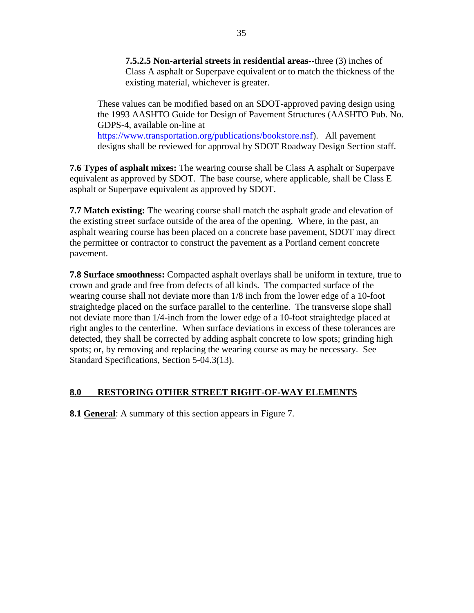**7.5.2.5 Non-arterial streets in residential areas**--three (3) inches of Class A asphalt or Superpave equivalent or to match the thickness of the existing material, whichever is greater.

These values can be modified based on an SDOT-approved paving design using the 1993 AASHTO Guide for Design of Pavement Structures (AASHTO Pub. No. GDPS-4, available on-line at [https://www.transportation.org/publications/bookstore.nsf\)](http://www.transportation.org/publications/bookstore.nsf). All pavement designs shall be reviewed for approval by SDOT Roadway Design Section staff.

**7.6 Types of asphalt mixes:** The wearing course shall be Class A asphalt or Superpave equivalent as approved by SDOT. The base course, where applicable, shall be Class E asphalt or Superpave equivalent as approved by SDOT.

**7.7 Match existing:** The wearing course shall match the asphalt grade and elevation of the existing street surface outside of the area of the opening. Where, in the past, an asphalt wearing course has been placed on a concrete base pavement, SDOT may direct the permittee or contractor to construct the pavement as a Portland cement concrete pavement.

**7.8 Surface smoothness:** Compacted asphalt overlays shall be uniform in texture, true to crown and grade and free from defects of all kinds. The compacted surface of the wearing course shall not deviate more than 1/8 inch from the lower edge of a 10-foot straightedge placed on the surface parallel to the centerline. The transverse slope shall not deviate more than 1/4-inch from the lower edge of a 10-foot straightedge placed at right angles to the centerline. When surface deviations in excess of these tolerances are detected, they shall be corrected by adding asphalt concrete to low spots; grinding high spots; or, by removing and replacing the wearing course as may be necessary. See Standard Specifications, Section 5-04.3(13).

# **8.0 RESTORING OTHER STREET RIGHT-OF-WAY ELEMENTS**

**8.1 General**: A summary of this section appears in Figure 7.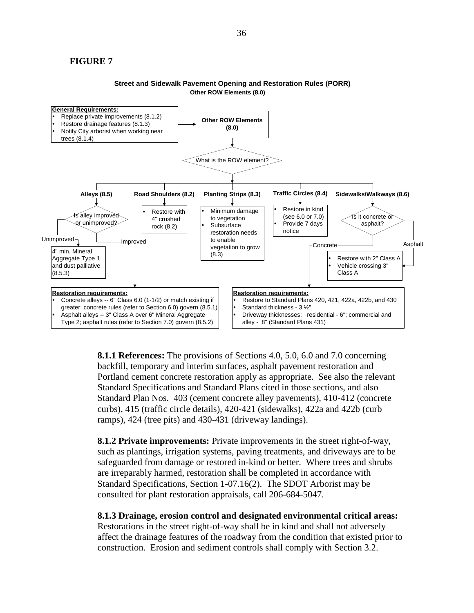#### **FIGURE 7**

#### **Street and Sidewalk Pavement Opening and Restoration Rules (PORR) Other ROW Elements (8.0)**



**8.1.1 References:** The provisions of Sections 4.0, 5.0, 6.0 and 7.0 concerning backfill, temporary and interim surfaces, asphalt pavement restoration and Portland cement concrete restoration apply as appropriate. See also the relevant Standard Specifications and Standard Plans cited in those sections, and also Standard Plan Nos. 403 (cement concrete alley pavements), 410-412 (concrete curbs), 415 (traffic circle details), 420-421 (sidewalks), 422a and 422b (curb ramps), 424 (tree pits) and 430-431 (driveway landings).

**8.1.2 Private improvements:** Private improvements in the street right-of-way, such as plantings, irrigation systems, paving treatments, and driveways are to be safeguarded from damage or restored in-kind or better. Where trees and shrubs are irreparably harmed, restoration shall be completed in accordance with Standard Specifications, Section 1-07.16(2). The SDOT Arborist may be consulted for plant restoration appraisals, call 206-684-5047.

## **8.1.3 Drainage, erosion control and designated environmental critical areas:**

Restorations in the street right-of-way shall be in kind and shall not adversely affect the drainage features of the roadway from the condition that existed prior to construction. Erosion and sediment controls shall comply with Section 3.2.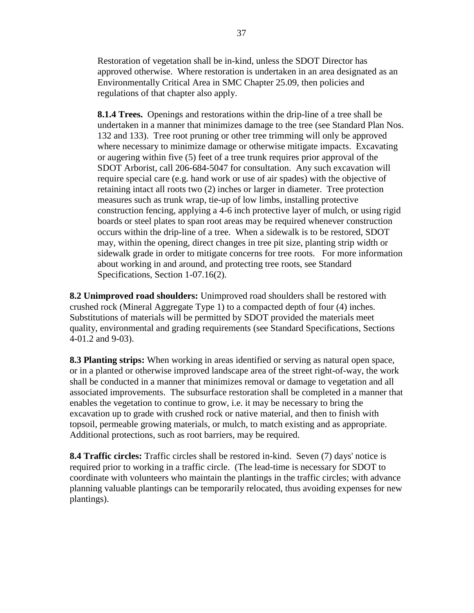Restoration of vegetation shall be in-kind, unless the SDOT Director has approved otherwise. Where restoration is undertaken in an area designated as an Environmentally Critical Area in SMC Chapter 25.09, then policies and regulations of that chapter also apply.

**8.1.4 Trees.** Openings and restorations within the drip-line of a tree shall be undertaken in a manner that minimizes damage to the tree (see Standard Plan Nos. 132 and 133). Tree root pruning or other tree trimming will only be approved where necessary to minimize damage or otherwise mitigate impacts. Excavating or augering within five (5) feet of a tree trunk requires prior approval of the SDOT Arborist, call 206-684-5047 for consultation. Any such excavation will require special care (e.g. hand work or use of air spades) with the objective of retaining intact all roots two (2) inches or larger in diameter. Tree protection measures such as trunk wrap, tie-up of low limbs, installing protective construction fencing, applying a 4-6 inch protective layer of mulch, or using rigid boards or steel plates to span root areas may be required whenever construction occurs within the drip-line of a tree. When a sidewalk is to be restored, SDOT may, within the opening, direct changes in tree pit size, planting strip width or sidewalk grade in order to mitigate concerns for tree roots. For more information about working in and around, and protecting tree roots, see Standard Specifications, Section 1-07.16(2).

**8.2 Unimproved road shoulders:** Unimproved road shoulders shall be restored with crushed rock (Mineral Aggregate Type 1) to a compacted depth of four (4) inches. Substitutions of materials will be permitted by SDOT provided the materials meet quality, environmental and grading requirements (see Standard Specifications, Sections 4-01.2 and 9-03).

**8.3 Planting strips:** When working in areas identified or serving as natural open space, or in a planted or otherwise improved landscape area of the street right-of-way, the work shall be conducted in a manner that minimizes removal or damage to vegetation and all associated improvements. The subsurface restoration shall be completed in a manner that enables the vegetation to continue to grow, i.e. it may be necessary to bring the excavation up to grade with crushed rock or native material, and then to finish with topsoil, permeable growing materials, or mulch, to match existing and as appropriate. Additional protections, such as root barriers, may be required.

**8.4 Traffic circles:** Traffic circles shall be restored in-kind. Seven (7) days' notice is required prior to working in a traffic circle. (The lead-time is necessary for SDOT to coordinate with volunteers who maintain the plantings in the traffic circles; with advance planning valuable plantings can be temporarily relocated, thus avoiding expenses for new plantings).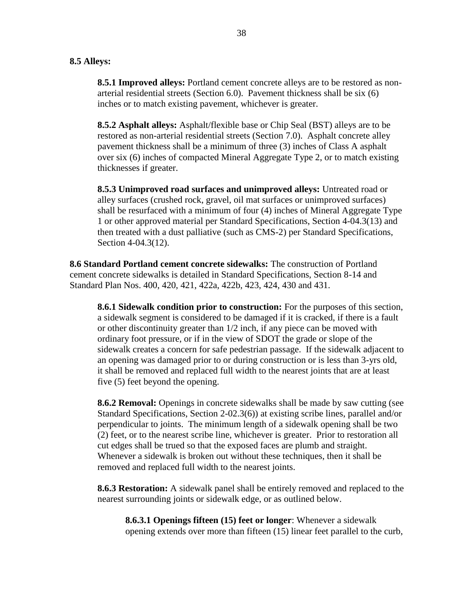#### **8.5 Alleys:**

**8.5.1 Improved alleys:** Portland cement concrete alleys are to be restored as nonarterial residential streets (Section 6.0). Pavement thickness shall be six (6) inches or to match existing pavement, whichever is greater.

**8.5.2 Asphalt alleys:** Asphalt/flexible base or Chip Seal (BST) alleys are to be restored as non-arterial residential streets (Section 7.0). Asphalt concrete alley pavement thickness shall be a minimum of three (3) inches of Class A asphalt over six (6) inches of compacted Mineral Aggregate Type 2, or to match existing thicknesses if greater.

**8.5.3 Unimproved road surfaces and unimproved alleys:** Untreated road or alley surfaces (crushed rock, gravel, oil mat surfaces or unimproved surfaces) shall be resurfaced with a minimum of four (4) inches of Mineral Aggregate Type 1 or other approved material per Standard Specifications, Section 4-04.3(13) and then treated with a dust palliative (such as CMS-2) per Standard Specifications, Section 4-04.3(12).

**8.6 Standard Portland cement concrete sidewalks:** The construction of Portland cement concrete sidewalks is detailed in Standard Specifications, Section 8-14 and Standard Plan Nos. 400, 420, 421, 422a, 422b, 423, 424, 430 and 431.

**8.6.1 Sidewalk condition prior to construction:** For the purposes of this section, a sidewalk segment is considered to be damaged if it is cracked, if there is a fault or other discontinuity greater than 1/2 inch, if any piece can be moved with ordinary foot pressure, or if in the view of SDOT the grade or slope of the sidewalk creates a concern for safe pedestrian passage. If the sidewalk adjacent to an opening was damaged prior to or during construction or is less than 3-yrs old, it shall be removed and replaced full width to the nearest joints that are at least five (5) feet beyond the opening.

**8.6.2 Removal:** Openings in concrete sidewalks shall be made by saw cutting (see Standard Specifications, Section 2-02.3(6)) at existing scribe lines, parallel and/or perpendicular to joints. The minimum length of a sidewalk opening shall be two (2) feet, or to the nearest scribe line, whichever is greater.Prior to restoration all cut edges shall be trued so that the exposed faces are plumb and straight. Whenever a sidewalk is broken out without these techniques, then it shall be removed and replaced full width to the nearest joints.

**8.6.3 Restoration:** A sidewalk panel shall be entirely removed and replaced to the nearest surrounding joints or sidewalk edge, or as outlined below.

**8.6.3.1 Openings fifteen (15) feet or longer**: Whenever a sidewalk opening extends over more than fifteen (15) linear feet parallel to the curb,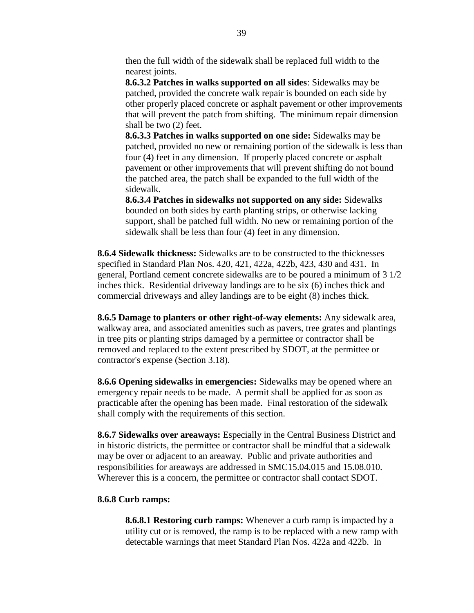then the full width of the sidewalk shall be replaced full width to the nearest joints.

**8.6.3.2 Patches in walks supported on all sides**: Sidewalks may be patched, provided the concrete walk repair is bounded on each side by other properly placed concrete or asphalt pavement or other improvements that will prevent the patch from shifting. The minimum repair dimension shall be two (2) feet.

**8.6.3.3 Patches in walks supported on one side:** Sidewalks may be patched, provided no new or remaining portion of the sidewalk is less than four (4) feet in any dimension. If properly placed concrete or asphalt pavement or other improvements that will prevent shifting do not bound the patched area, the patch shall be expanded to the full width of the sidewalk.

**8.6.3.4 Patches in sidewalks not supported on any side:** Sidewalks bounded on both sides by earth planting strips, or otherwise lacking support, shall be patched full width. No new or remaining portion of the sidewalk shall be less than four (4) feet in any dimension.

**8.6.4 Sidewalk thickness:** Sidewalks are to be constructed to the thicknesses specified in Standard Plan Nos. 420, 421, 422a, 422b, 423, 430 and 431. In general, Portland cement concrete sidewalks are to be poured a minimum of 3 1/2 inches thick. Residential driveway landings are to be six (6) inches thick and commercial driveways and alley landings are to be eight (8) inches thick.

**8.6.5 Damage to planters or other right-of-way elements:** Any sidewalk area, walkway area, and associated amenities such as pavers, tree grates and plantings in tree pits or planting strips damaged by a permittee or contractor shall be removed and replaced to the extent prescribed by SDOT, at the permittee or contractor's expense (Section 3.18).

**8.6.6 Opening sidewalks in emergencies:** Sidewalks may be opened where an emergency repair needs to be made. A permit shall be applied for as soon as practicable after the opening has been made. Final restoration of the sidewalk shall comply with the requirements of this section.

**8.6.7 Sidewalks over areaways:** Especially in the Central Business District and in historic districts, the permittee or contractor shall be mindful that a sidewalk may be over or adjacent to an areaway. Public and private authorities and responsibilities for areaways are addressed in SMC15.04.015 and 15.08.010. Wherever this is a concern, the permittee or contractor shall contact SDOT.

#### **8.6.8 Curb ramps:**

**8.6.8.1 Restoring curb ramps:** Whenever a curb ramp is impacted by a utility cut or is removed, the ramp is to be replaced with a new ramp with detectable warnings that meet Standard Plan Nos. 422a and 422b. In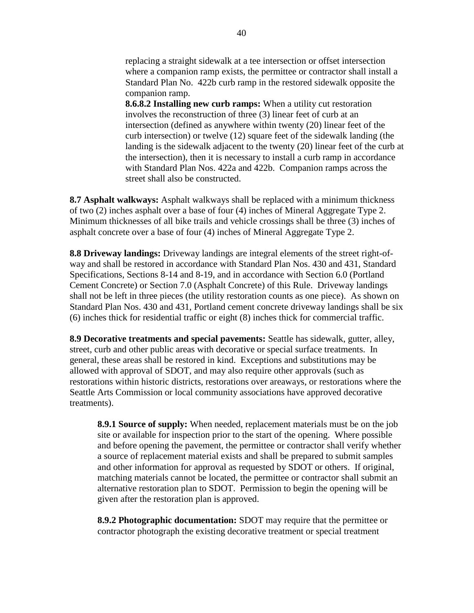replacing a straight sidewalk at a tee intersection or offset intersection where a companion ramp exists, the permittee or contractor shall install a Standard Plan No. 422b curb ramp in the restored sidewalk opposite the companion ramp.

**8.6.8.2 Installing new curb ramps:** When a utility cut restoration involves the reconstruction of three (3) linear feet of curb at an intersection (defined as anywhere within twenty (20) linear feet of the curb intersection) or twelve (12) square feet of the sidewalk landing (the landing is the sidewalk adjacent to the twenty (20) linear feet of the curb at the intersection), then it is necessary to install a curb ramp in accordance with Standard Plan Nos. 422a and 422b. Companion ramps across the street shall also be constructed.

**8.7 Asphalt walkways:** Asphalt walkways shall be replaced with a minimum thickness of two (2) inches asphalt over a base of four (4) inches of Mineral Aggregate Type 2. Minimum thicknesses of all bike trails and vehicle crossings shall be three (3) inches of asphalt concrete over a base of four (4) inches of Mineral Aggregate Type 2.

**8.8 Driveway landings:** Driveway landings are integral elements of the street right-ofway and shall be restored in accordance with Standard Plan Nos. 430 and 431, Standard Specifications, Sections 8-14 and 8-19, and in accordance with Section 6.0 (Portland Cement Concrete) or Section 7.0 (Asphalt Concrete) of this Rule. Driveway landings shall not be left in three pieces (the utility restoration counts as one piece). As shown on Standard Plan Nos. 430 and 431, Portland cement concrete driveway landings shall be six (6) inches thick for residential traffic or eight (8) inches thick for commercial traffic.

**8.9 Decorative treatments and special pavements:** Seattle has sidewalk, gutter, alley, street, curb and other public areas with decorative or special surface treatments. In general, these areas shall be restored in kind. Exceptions and substitutions may be allowed with approval of SDOT, and may also require other approvals (such as restorations within historic districts, restorations over areaways, or restorations where the Seattle Arts Commission or local community associations have approved decorative treatments).

**8.9.1 Source of supply:** When needed, replacement materials must be on the job site or available for inspection prior to the start of the opening. Where possible and before opening the pavement, the permittee or contractor shall verify whether a source of replacement material exists and shall be prepared to submit samples and other information for approval as requested by SDOT or others. If original, matching materials cannot be located, the permittee or contractor shall submit an alternative restoration plan to SDOT. Permission to begin the opening will be given after the restoration plan is approved.

**8.9.2 Photographic documentation:** SDOT may require that the permittee or contractor photograph the existing decorative treatment or special treatment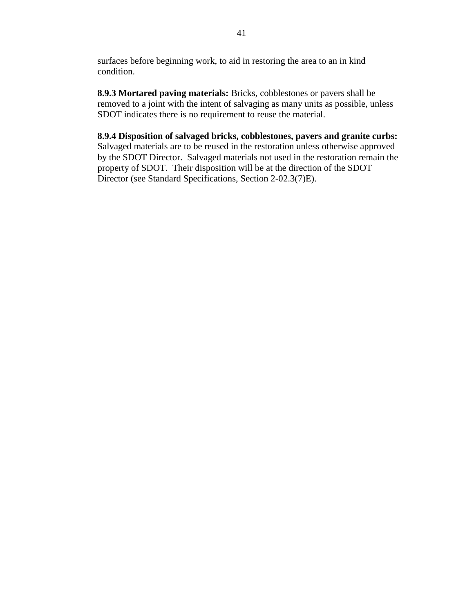surfaces before beginning work, to aid in restoring the area to an in kind condition.

**8.9.3 Mortared paving materials:** Bricks, cobblestones or pavers shall be removed to a joint with the intent of salvaging as many units as possible, unless SDOT indicates there is no requirement to reuse the material.

**8.9.4 Disposition of salvaged bricks, cobblestones, pavers and granite curbs:** Salvaged materials are to be reused in the restoration unless otherwise approved by the SDOT Director. Salvaged materials not used in the restoration remain the property of SDOT. Their disposition will be at the direction of the SDOT Director (see Standard Specifications, Section 2-02.3(7)E).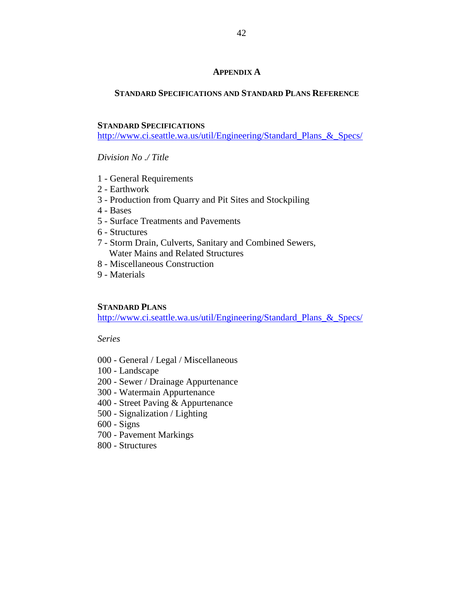#### **APPENDIX A**

#### **STANDARD SPECIFICATIONS AND STANDARD PLANS REFERENCE**

#### **STANDARD SPECIFICATIONS**

[http://www.ci.seattle.wa.us/util/Engineering/Standard\\_Plans\\_&\\_Specs/](http://www.ci.seattle.wa.us/util/Engineering/Standard_Plans_&_Specs/)

*Division No ./ Title*

- 1 General Requirements
- 2 Earthwork
- 3 Production from Quarry and Pit Sites and Stockpiling
- 4 Bases
- 5 Surface Treatments and Pavements
- 6 Structures
- 7 Storm Drain, Culverts, Sanitary and Combined Sewers, Water Mains and Related Structures
- 8 Miscellaneous Construction
- 9 Materials

#### **STANDARD PLANS**

[http://www.ci.seattle.wa.us/util/Engineering/Standard\\_Plans\\_&\\_Specs/](http://www.ci.seattle.wa.us/util/Engineering/Standard_Plans_&_Specs/)

*Series*

- 000 General / Legal / Miscellaneous
- 100 Landscape
- 200 Sewer / Drainage Appurtenance
- 300 Watermain Appurtenance
- 400 Street Paving & Appurtenance
- 500 Signalization / Lighting
- 600 Signs
- 700 Pavement Markings
- 800 Structures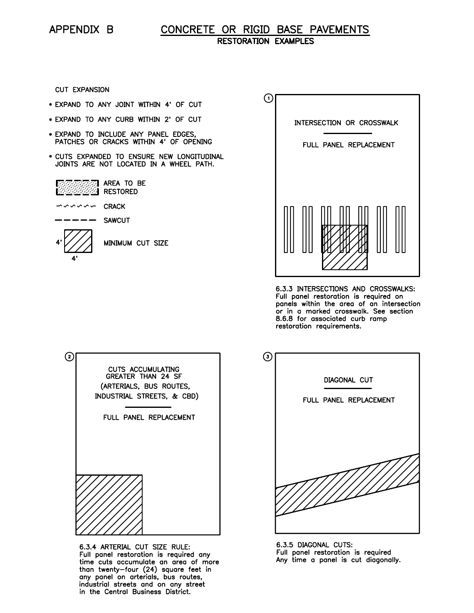## CONCRETE OR RIGID BASE PAVEMENTS **RESTORATION EXAMPLES**

**CUT EXPANSION** 

- . EXPAND TO ANY JOINT WITHIN 4' OF CUT
- . EXPAND TO ANY CURB WITHIN 2' OF CUT
- . EXPAND TO INCLUDE ANY PANEL EDGES, PATCHES OR CRACKS WITHIN 4' OF OPENING
- . CUTS EXPANDED TO ENSURE NEW LONGITUDINAL JOINTS ARE NOT LOCATED IN A WHEEL PATH.

| ्र <b>ान्न AREA TO BE</b> |  |  |
|---------------------------|--|--|
| <b>EXAMPLE RESTORED</b>   |  |  |

 $\rightarrow$   $\sim$   $\sim$   $\sim$   $\sim$  CRACK

**SAWCUT** 



MINIMUM CUT SIZE



6.3.3 INTERSECTIONS AND CROSSWALKS: Full panel restoration is required on panels within the area of an intersection or in a marked crosswalk. See section 8.6.8 for associated curb ramp restoration requirements.



6.3.4 ARTERIAL CUT SIZE RULE: Full panel restoration is required any time cuts accumulate an area of more than twenty-four (24) square feet in<br>any panel on arterials, bus routes, industrial streets and on any street in the Central Business District.



6.3.5 DIAGONAL CUTS: Full panel restoration is required Any time a panel is cut diagonally.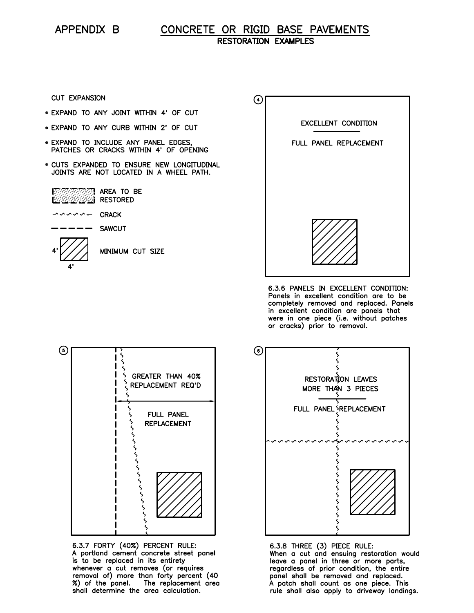#### CONCRETE OR RIGID BASE PAVEMENTS **RESTORATION EXAMPLES**

**CUT EXPANSION** 

- . EXPAND TO ANY JOINT WITHIN 4' OF CUT
- . EXPAND TO ANY CURB WITHIN 2' OF CUT
- . EXPAND TO INCLUDE ANY PANEL EDGES, PATCHES OR CRACKS WITHIN 4' OF OPENING
- . CUTS EXPANDED TO ENSURE NEW LONGITUDINAL JOINTS ARE NOT LOCATED IN A WHEEL PATH.



- しくくくくー **CRACK**
- $- -$ **SAWCUT**



MINIMUM CUT SIZE



6.3.6 PANELS IN EXCELLENT CONDITION: Panels in excellent condition are to be completely removed and replaced. Panels in excellent condition are panels that<br>were in one piece (i.e. without patches<br>or cracks) prior to removal.



6.3.7 FORTY (40%) PERCENT RULE: A portland cement concrete street panel is to be replaced in its entirety whenever a cut removes (or requires<br>removal of) more than forty percent (40<br>%) of the panel. The replacement area shall determine the area calculation.



6.3.8 THREE (3) PIECE RULE: When a cut and ensuing restoration would<br>leave a panel in three or more parts, regardless of prior condition, the entire panel shall be removed and replaced. A patch shall count as one piece. This rule shall also apply to driveway landings.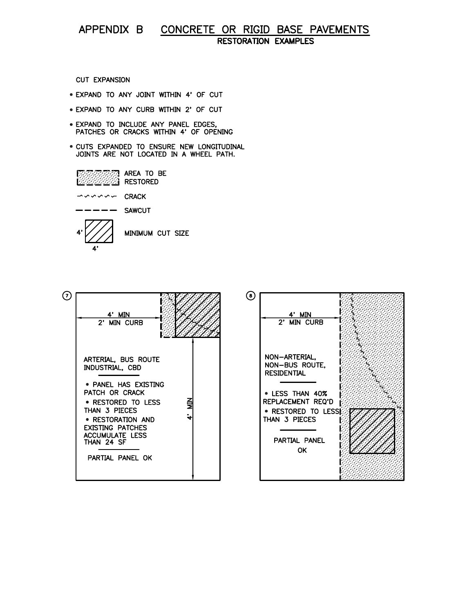#### CONCRETE OR RIGID BASE PAVEMENTS APPENDIX B **RESTORATION EXAMPLES**

**CUT EXPANSION** 

- . EXPAND TO ANY JOINT WITHIN 4' OF CUT
- . EXPAND TO ANY CURB WITHIN 2' OF CUT
- · EXPAND TO INCLUDE ANY PANEL EDGES, PATCHES OR CRACKS WITHIN 4' OF OPENING
- . CUTS EXPANDED TO ENSURE NEW LONGITUDINAL JOINTS ARE NOT LOCATED IN A WHEEL PATH.



しくくくくし **CRACK** 

**SAWCUT** --

4'

MINIMUM CUT SIZE

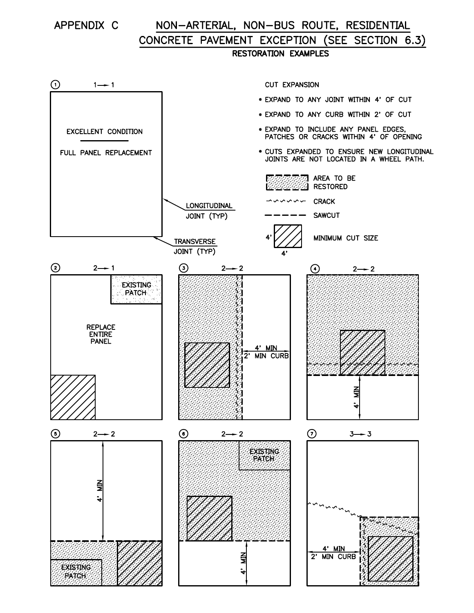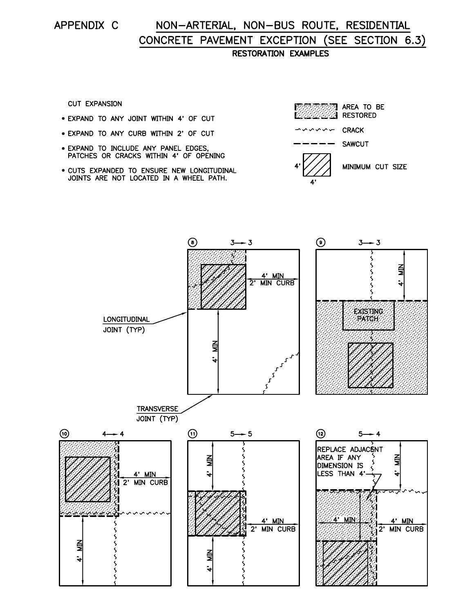# APPENDIX C

# NON-ARTERIAL, NON-BUS ROUTE, RESIDENTIAL CONCRETE PAVEMENT EXCEPTION (SEE SECTION 6.3) **RESTORATION EXAMPLES**

**CUT EXPANSION** 

- . EXPAND TO ANY JOINT WITHIN 4' OF CUT
- . EXPAND TO ANY CURB WITHIN 2' OF CUT
- . EXPAND TO INCLUDE ANY PANEL EDGES, PATCHES OR CRACKS WITHIN 4' OF OPENING
- . CUTS EXPANDED TO ENSURE NEW LONGITUDINAL JOINTS ARE NOT LOCATED IN A WHEEL PATH.